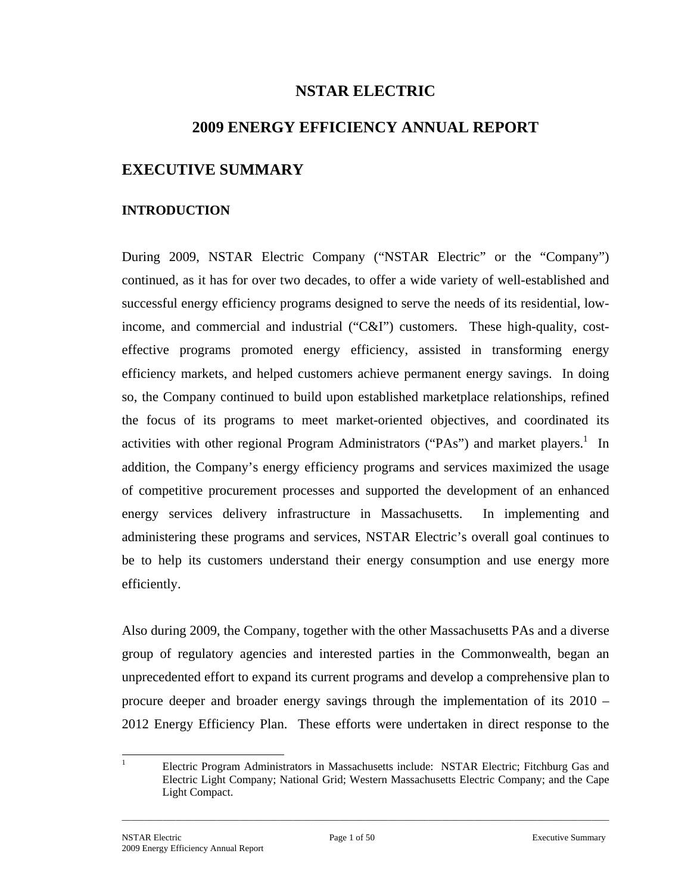# **NSTAR ELECTRIC**

## **2009 ENERGY EFFICIENCY ANNUAL REPORT**

# **EXECUTIVE SUMMARY**

#### **INTRODUCTION**

During 2009, NSTAR Electric Company ("NSTAR Electric" or the "Company") continued, as it has for over two decades, to offer a wide variety of well-established and successful energy efficiency programs designed to serve the needs of its residential, lowincome, and commercial and industrial ("C&I") customers. These high-quality, costeffective programs promoted energy efficiency, assisted in transforming energy efficiency markets, and helped customers achieve permanent energy savings. In doing so, the Company continued to build upon established marketplace relationships, refined the focus of its programs to meet market-oriented objectives, and coordinated its activities with other regional Program Administrators ("PAs") and market players.<sup>1</sup> In addition, the Company's energy efficiency programs and services maximized the usage of competitive procurement processes and supported the development of an enhanced energy services delivery infrastructure in Massachusetts. In implementing and administering these programs and services, NSTAR Electric's overall goal continues to be to help its customers understand their energy consumption and use energy more efficiently.

Also during 2009, the Company, together with the other Massachusetts PAs and a diverse group of regulatory agencies and interested parties in the Commonwealth, began an unprecedented effort to expand its current programs and develop a comprehensive plan to procure deeper and broader energy savings through the implementation of its 2010 – 2012 Energy Efficiency Plan. These efforts were undertaken in direct response to the

 $\frac{1}{1}$  Electric Program Administrators in Massachusetts include: NSTAR Electric; Fitchburg Gas and Electric Light Company; National Grid; Western Massachusetts Electric Company; and the Cape Light Compact.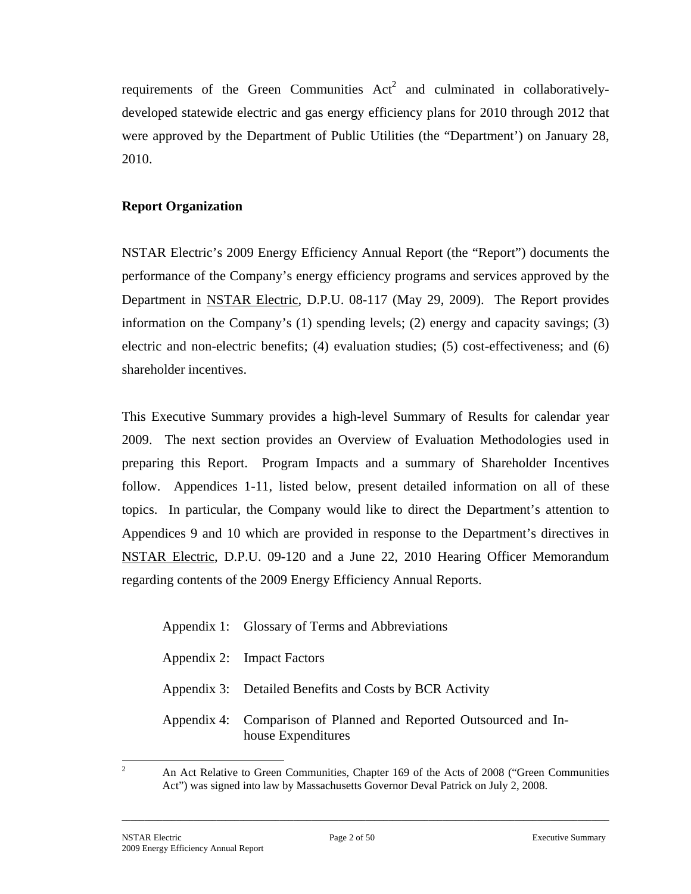requirements of the Green Communities  $Act<sup>2</sup>$  and culminated in collaborativelydeveloped statewide electric and gas energy efficiency plans for 2010 through 2012 that were approved by the Department of Public Utilities (the "Department') on January 28, 2010.

## **Report Organization**

NSTAR Electric's 2009 Energy Efficiency Annual Report (the "Report") documents the performance of the Company's energy efficiency programs and services approved by the Department in NSTAR Electric, D.P.U. 08-117 (May 29, 2009). The Report provides information on the Company's (1) spending levels; (2) energy and capacity savings; (3) electric and non-electric benefits; (4) evaluation studies; (5) cost-effectiveness; and (6) shareholder incentives.

This Executive Summary provides a high-level Summary of Results for calendar year 2009. The next section provides an Overview of Evaluation Methodologies used in preparing this Report. Program Impacts and a summary of Shareholder Incentives follow. Appendices 1-11, listed below, present detailed information on all of these topics. In particular, the Company would like to direct the Department's attention to Appendices 9 and 10 which are provided in response to the Department's directives in NSTAR Electric, D.P.U. 09-120 and a June 22, 2010 Hearing Officer Memorandum regarding contents of the 2009 Energy Efficiency Annual Reports.

| Appendix 1: Glossary of Terms and Abbreviations |  |
|-------------------------------------------------|--|
|-------------------------------------------------|--|

- Appendix 2: Impact Factors
- Appendix 3: Detailed Benefits and Costs by BCR Activity
- Appendix 4: Comparison of Planned and Reported Outsourced and Inhouse Expenditures

 An Act Relative to Green Communities, Chapter 169 of the Acts of 2008 ("Green Communities Act") was signed into law by Massachusetts Governor Deval Patrick on July 2, 2008.

\_\_\_\_\_\_\_\_\_\_\_\_\_\_\_\_\_\_\_\_\_\_\_\_\_\_\_\_\_\_\_\_\_\_\_\_\_\_\_\_\_\_\_\_\_\_\_\_\_\_\_\_\_\_\_\_\_\_\_\_\_\_\_\_\_\_\_\_\_\_\_\_\_\_\_\_\_\_\_\_\_\_\_\_\_\_\_\_\_\_\_\_\_\_\_\_\_\_\_\_\_\_\_\_\_\_\_\_

<sup>2</sup>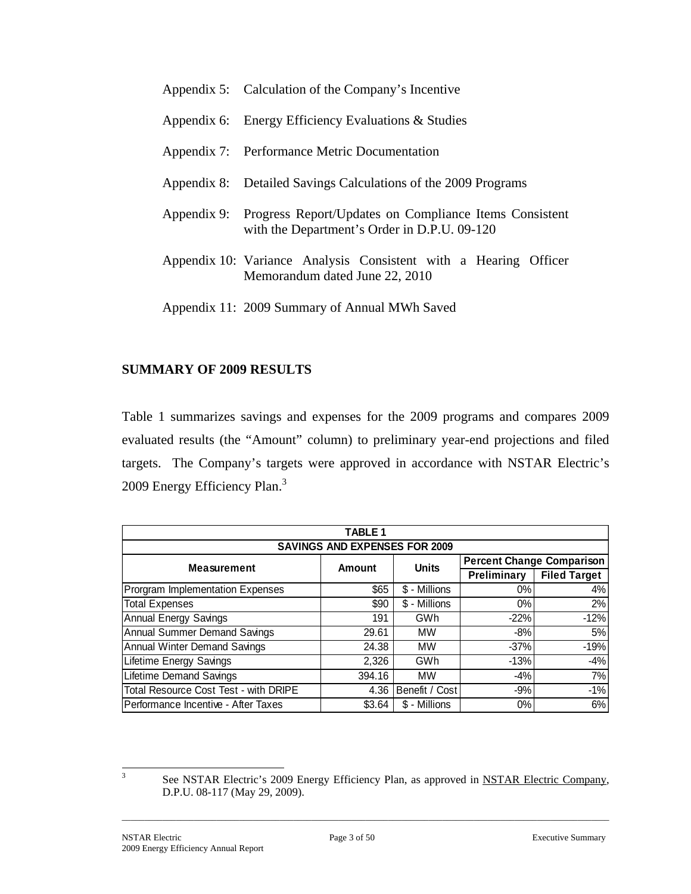| Appendix 5: Calculation of the Company's Incentive                                                                 |  |  |  |  |  |  |  |  |  |
|--------------------------------------------------------------------------------------------------------------------|--|--|--|--|--|--|--|--|--|
| Appendix 6: Energy Efficiency Evaluations & Studies                                                                |  |  |  |  |  |  |  |  |  |
| Appendix 7: Performance Metric Documentation                                                                       |  |  |  |  |  |  |  |  |  |
| Appendix 8: Detailed Savings Calculations of the 2009 Programs                                                     |  |  |  |  |  |  |  |  |  |
| Appendix 9: Progress Report/Updates on Compliance Items Consistent<br>with the Department's Order in D.P.U. 09-120 |  |  |  |  |  |  |  |  |  |
| Appendix 10: Variance Analysis Consistent with a Hearing Officer<br>Memorandum dated June 22, 2010                 |  |  |  |  |  |  |  |  |  |

Appendix 11: 2009 Summary of Annual MWh Saved

## **SUMMARY OF 2009 RESULTS**

Table 1 summarizes savings and expenses for the 2009 programs and compares 2009 evaluated results (the "Amount" column) to preliminary year-end projections and filed targets. The Company's targets were approved in accordance with NSTAR Electric's 2009 Energy Efficiency Plan.<sup>3</sup>

|                                       | <b>TABLE 1</b> |                |                                  |                     |  |  |  |  |  |  |  |  |
|---------------------------------------|----------------|----------------|----------------------------------|---------------------|--|--|--|--|--|--|--|--|
| <b>SAVINGS AND EXPENSES FOR 2009</b>  |                |                |                                  |                     |  |  |  |  |  |  |  |  |
| <b>Measurement</b>                    | Amount         | <b>Units</b>   | <b>Percent Change Comparison</b> |                     |  |  |  |  |  |  |  |  |
|                                       |                |                | Preliminary                      | <b>Filed Target</b> |  |  |  |  |  |  |  |  |
| Prorgram Implementation Expenses      | \$65           | \$ - Millions  | $0\%$                            | 4%                  |  |  |  |  |  |  |  |  |
| <b>Total Expenses</b>                 | \$90           | \$ - Millions  | $0\%$                            | 2%                  |  |  |  |  |  |  |  |  |
| <b>Annual Energy Savings</b>          | 191            | <b>GWh</b>     | $-22%$                           | $-12%$              |  |  |  |  |  |  |  |  |
| <b>Annual Summer Demand Savings</b>   | 29.61          | <b>MW</b>      | -8%                              | 5%                  |  |  |  |  |  |  |  |  |
| <b>Annual Winter Demand Savings</b>   | 24.38          | <b>MW</b>      | $-37%$                           | $-19%$              |  |  |  |  |  |  |  |  |
| <b>Lifetime Energy Savings</b>        | 2,326          | GWh            | $-13%$                           | $-4%$               |  |  |  |  |  |  |  |  |
| <b>Lifetime Demand Savings</b>        | 394.16         | <b>MW</b>      | $-4%$                            | 7%                  |  |  |  |  |  |  |  |  |
| Total Resource Cost Test - with DRIPE | 4.36           | Benefit / Cost | $-9%$                            | $-1%$               |  |  |  |  |  |  |  |  |
| Performance Incentive - After Taxes   | \$3.64         | \$ - Millions  | 0%                               | 6%                  |  |  |  |  |  |  |  |  |

 3

See NSTAR Electric's 2009 Energy Efficiency Plan, as approved in NSTAR Electric Company, D.P.U. 08-117 (May 29, 2009).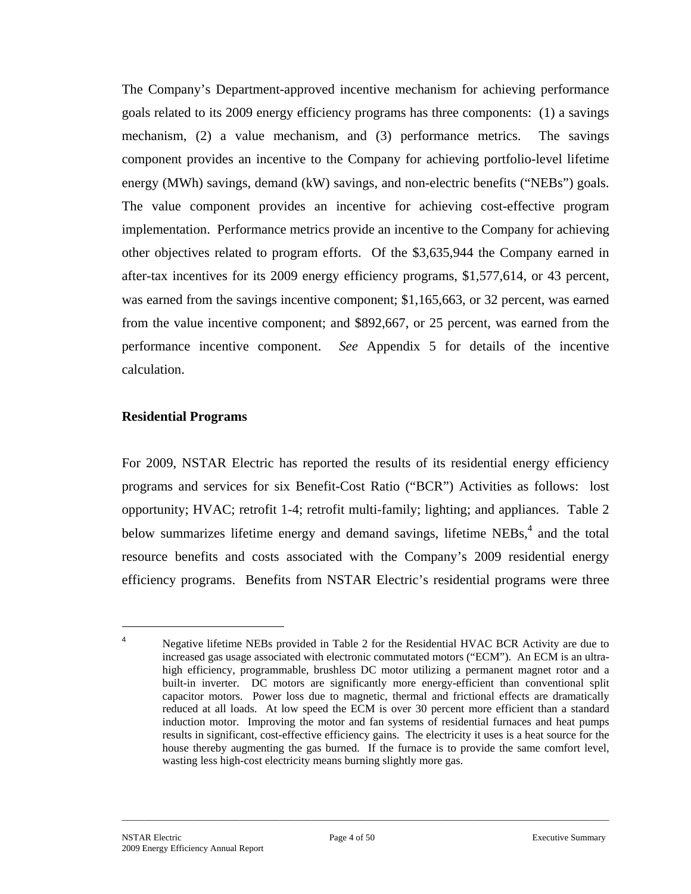The Company's Department-approved incentive mechanism for achieving performance goals related to its 2009 energy efficiency programs has three components: (1) a savings mechanism, (2) a value mechanism, and (3) performance metrics. The savings component provides an incentive to the Company for achieving portfolio-level lifetime energy (MWh) savings, demand (kW) savings, and non-electric benefits ("NEBs") goals. The value component provides an incentive for achieving cost-effective program implementation. Performance metrics provide an incentive to the Company for achieving other objectives related to program efforts. Of the \$3,635,944 the Company earned in after-tax incentives for its 2009 energy efficiency programs, \$1,577,614, or 43 percent, was earned from the savings incentive component; \$1,165,663, or 32 percent, was earned from the value incentive component; and \$892,667, or 25 percent, was earned from the performance incentive component. *See* Appendix 5 for details of the incentive calculation.

#### **Residential Programs**

 $\overline{a}$ 4

For 2009, NSTAR Electric has reported the results of its residential energy efficiency programs and services for six Benefit-Cost Ratio ("BCR") Activities as follows: lost opportunity; HVAC; retrofit 1-4; retrofit multi-family; lighting; and appliances. Table 2 below summarizes lifetime energy and demand savings, lifetime NEBs,<sup>4</sup> and the total resource benefits and costs associated with the Company's 2009 residential energy efficiency programs. Benefits from NSTAR Electric's residential programs were three

Negative lifetime NEBs provided in Table 2 for the Residential HVAC BCR Activity are due to increased gas usage associated with electronic commutated motors ("ECM"). An ECM is an ultrahigh efficiency, programmable, brushless DC motor utilizing a permanent magnet rotor and a built-in inverter. DC motors are significantly more energy-efficient than conventional split capacitor motors. Power loss due to magnetic, thermal and frictional effects are dramatically reduced at all loads. At low speed the ECM is over 30 percent more efficient than a standard induction motor. Improving the motor and fan systems of residential furnaces and heat pumps results in significant, cost-effective efficiency gains. The electricity it uses is a heat source for the house thereby augmenting the gas burned. If the furnace is to provide the same comfort level, wasting less high-cost electricity means burning slightly more gas.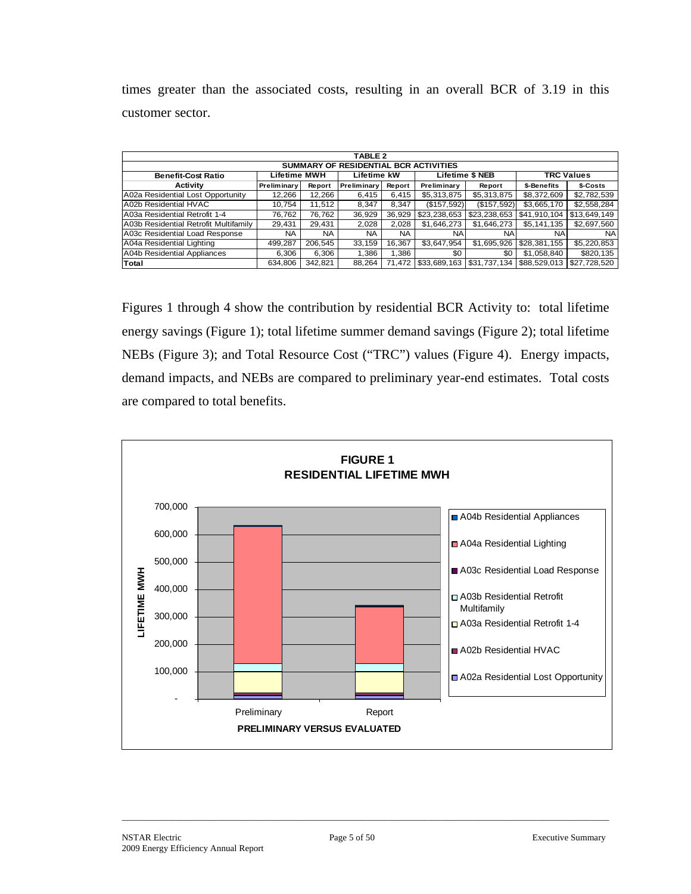times greater than the associated costs, resulting in an overall BCR of 3.19 in this customer sector.

|                                       | <b>TABLE 2</b>     |           |             |           |                           |                        |                   |              |  |  |  |  |  |
|---------------------------------------|--------------------|-----------|-------------|-----------|---------------------------|------------------------|-------------------|--------------|--|--|--|--|--|
| SUMMARY OF RESIDENTIAL BCR ACTIVITIES |                    |           |             |           |                           |                        |                   |              |  |  |  |  |  |
| <b>Benefit-Cost Ratio</b>             | Lifetime MWH       |           | Lifetime kW |           |                           | <b>Lifetime \$ NEB</b> | <b>TRC Values</b> |              |  |  |  |  |  |
| Activity                              | <b>Preliminary</b> | Report    | Preliminary | Report    | Preliminary               | Report                 | \$-Benefits       | \$-Costs     |  |  |  |  |  |
| A02a Residential Lost Opportunity     | 12,266             | 12.266    | 6.415       | 6.415     | \$5,313,875               | \$5,313,875            | \$8,372,609       | \$2,782,539  |  |  |  |  |  |
| A02b Residential HVAC                 | 10.754             | 11,512    | 8,347       | 8.347     | (\$157,592)               | (\$157,592)            | \$3,665,170       | \$2,558,284  |  |  |  |  |  |
| A03a Residential Retrofit 1-4         | 76.762             | 76.762    | 36.929      | 36,929    | \$23,238,653              | \$23,238,653           | \$41,910,104      | \$13.649.149 |  |  |  |  |  |
| A03b Residential Retrofit Multifamily | 29,431             | 29,431    | 2,028       | 2.028     | \$1,646,273               | \$1,646,273            | \$5,141,135       | \$2,697,560  |  |  |  |  |  |
| A03c Residential Load Response        | NA.                | <b>NA</b> | NA.         | <b>NA</b> | <b>NA</b>                 | <b>NA</b>              | NA.               | NA.          |  |  |  |  |  |
| A04a Residential Lighting             | 499,287            | 206.545   | 33.159      | 16.367    | \$3,647,954               | \$1,695,926            | \$28,381,155      | \$5,220,853  |  |  |  |  |  |
| A04b Residential Appliances           | 6.306              | 6.306     | 1.386       | 1.386     | \$0                       | \$0                    | \$1.058.840       | \$820,135    |  |  |  |  |  |
| Total                                 | 634,806            | 342.821   | 88.264      | 71.472    | \$33,689,163 \$31,737,134 |                        | \$88,529,013      | \$27.728.520 |  |  |  |  |  |

Figures 1 through 4 show the contribution by residential BCR Activity to: total lifetime energy savings (Figure 1); total lifetime summer demand savings (Figure 2); total lifetime NEBs (Figure 3); and Total Resource Cost ("TRC") values (Figure 4). Energy impacts, demand impacts, and NEBs are compared to preliminary year-end estimates. Total costs are compared to total benefits.

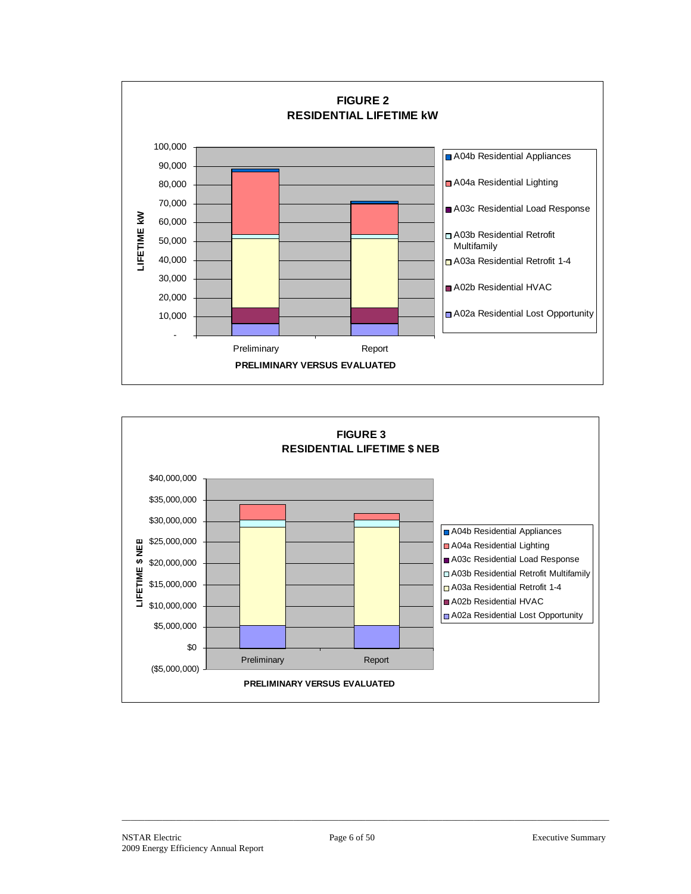

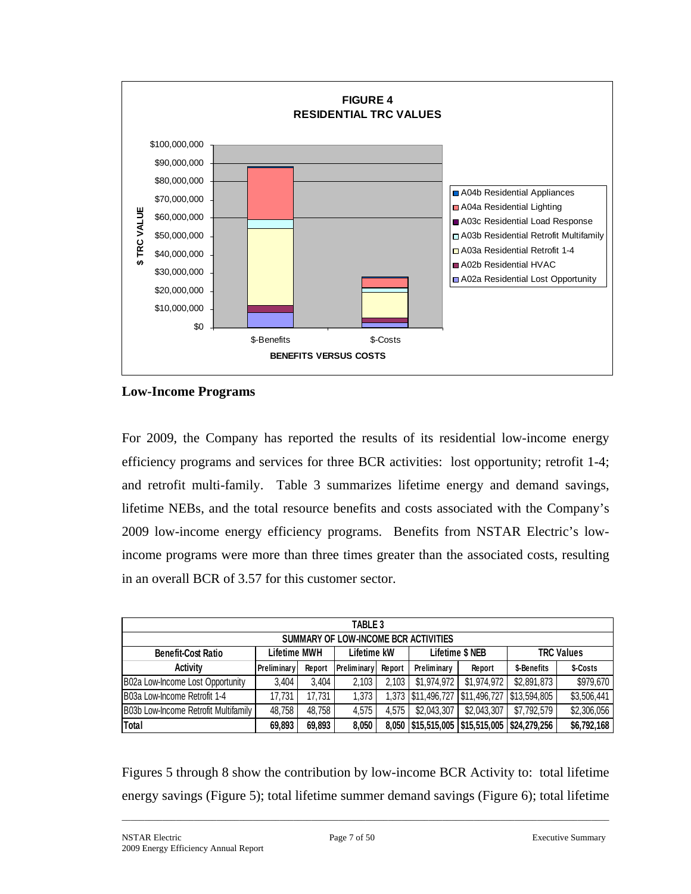

**Low-Income Programs** 

For 2009, the Company has reported the results of its residential low-income energy efficiency programs and services for three BCR activities: lost opportunity; retrofit 1-4; and retrofit multi-family. Table 3 summarizes lifetime energy and demand savings, lifetime NEBs, and the total resource benefits and costs associated with the Company's 2009 low-income energy efficiency programs. Benefits from NSTAR Electric's lowincome programs were more than three times greater than the associated costs, resulting in an overall BCR of 3.57 for this customer sector.

| TABLE 3                                                                                                        |                                                                                                    |        |       |       |                                     |             |              |             |  |  |  |
|----------------------------------------------------------------------------------------------------------------|----------------------------------------------------------------------------------------------------|--------|-------|-------|-------------------------------------|-------------|--------------|-------------|--|--|--|
| SUMMARY OF LOW-INCOME BCR ACTIVITIES                                                                           |                                                                                                    |        |       |       |                                     |             |              |             |  |  |  |
| <b>TRC Values</b><br><b>Lifetime \$ NEB</b><br><b>Lifetime MWH</b><br>Lifetime kW<br><b>Benefit-Cost Ratio</b> |                                                                                                    |        |       |       |                                     |             |              |             |  |  |  |
| <b>Activity</b>                                                                                                | \$-Costs<br>Preliminary<br>Preliminary<br>Preliminary<br>\$-Benefits<br>Report<br>Report<br>Report |        |       |       |                                     |             |              |             |  |  |  |
| B02a Low-Income Lost Opportunity                                                                               | 3.404                                                                                              | 3.404  | 2,103 | 2.103 | \$1.974.972                         | \$1,974,972 | \$2,891,873  | \$979,670   |  |  |  |
| B03a Low-Income Retrofit 1-4                                                                                   | 17.731                                                                                             | 17.731 | 1,373 |       | 1,373   \$11,496,727   \$11,496,727 |             | \$13,594,805 | \$3,506,441 |  |  |  |
| <b>IB03b Low-Income Retrofit Multifamily</b>                                                                   | 48,758                                                                                             | 48.758 | 4.575 | 4.575 | \$2,043,307                         | \$2,043,307 | \$7,792,579  | \$2,306,056 |  |  |  |
| Total                                                                                                          | 69,893                                                                                             | 69,893 | 8,050 |       | 8,050   \$15,515,005   \$15,515,005 |             | \$24,279,256 | \$6,792,168 |  |  |  |

Figures 5 through 8 show the contribution by low-income BCR Activity to: total lifetime energy savings (Figure 5); total lifetime summer demand savings (Figure 6); total lifetime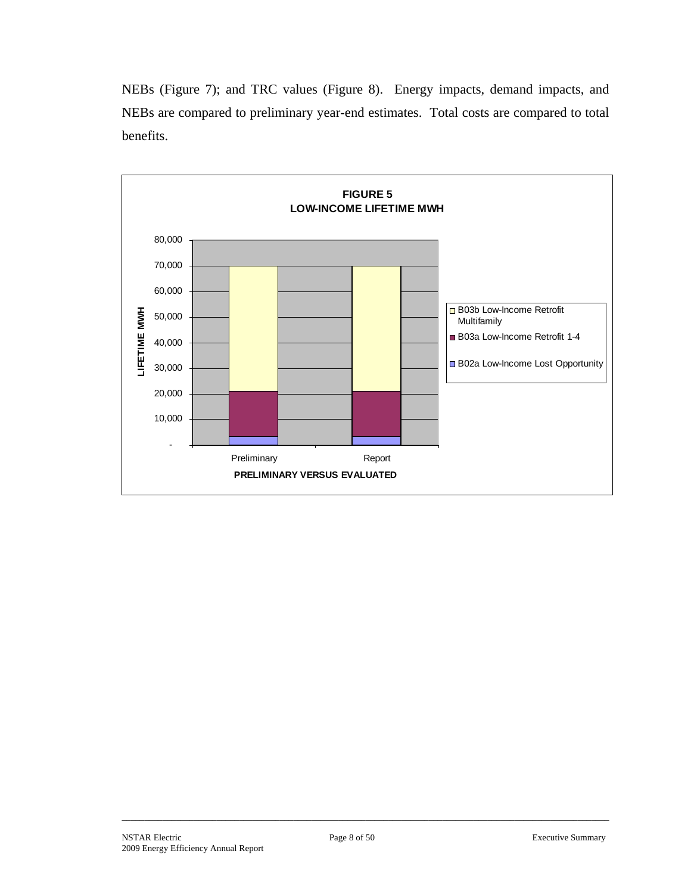NEBs (Figure 7); and TRC values (Figure 8). Energy impacts, demand impacts, and NEBs are compared to preliminary year-end estimates. Total costs are compared to total benefits.

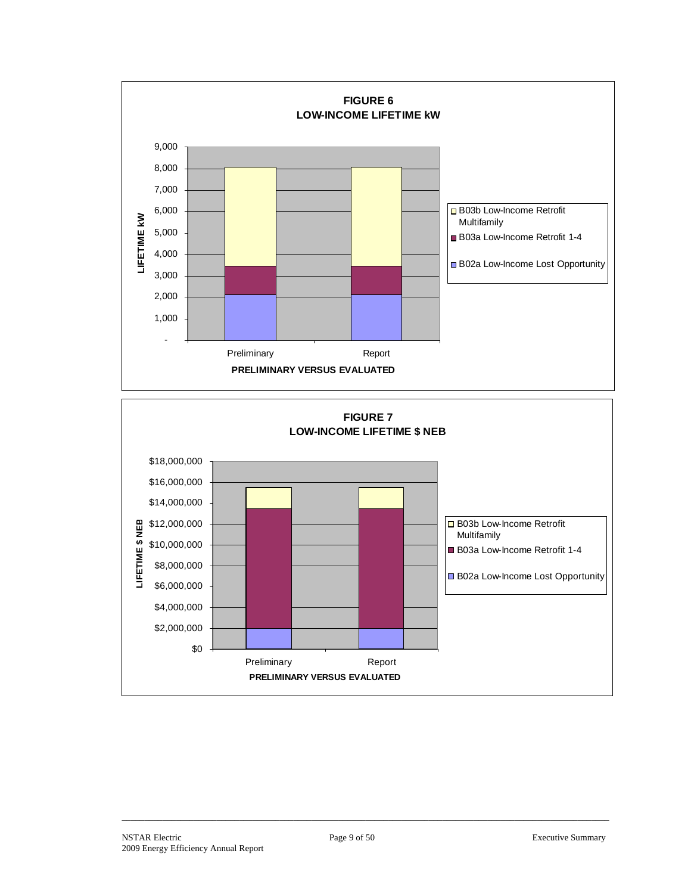

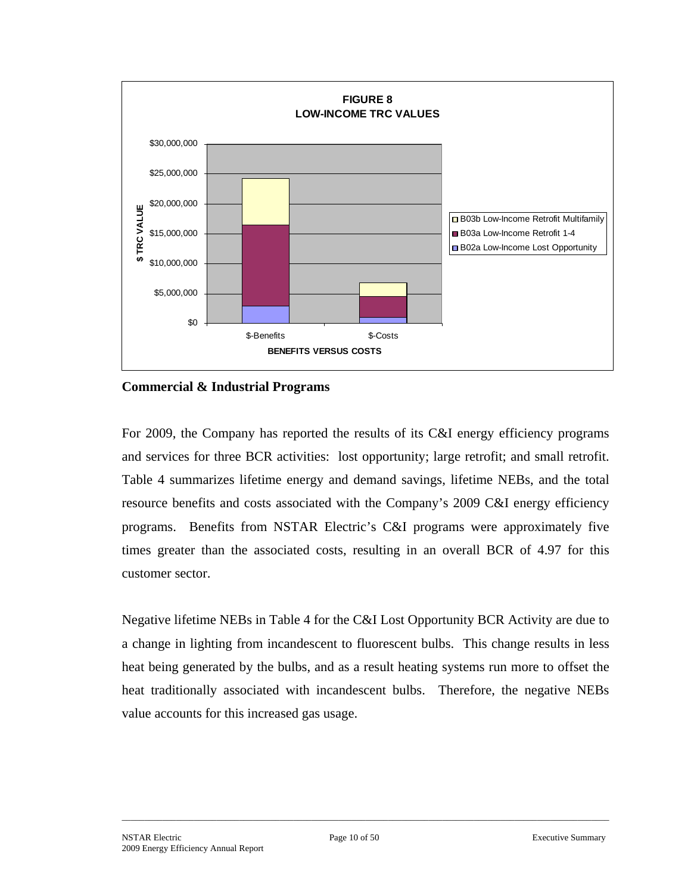

**Commercial & Industrial Programs** 

For 2009, the Company has reported the results of its C&I energy efficiency programs and services for three BCR activities: lost opportunity; large retrofit; and small retrofit. Table 4 summarizes lifetime energy and demand savings, lifetime NEBs, and the total resource benefits and costs associated with the Company's 2009 C&I energy efficiency programs. Benefits from NSTAR Electric's C&I programs were approximately five times greater than the associated costs, resulting in an overall BCR of 4.97 for this customer sector.

Negative lifetime NEBs in Table 4 for the C&I Lost Opportunity BCR Activity are due to a change in lighting from incandescent to fluorescent bulbs. This change results in less heat being generated by the bulbs, and as a result heating systems run more to offset the heat traditionally associated with incandescent bulbs. Therefore, the negative NEBs value accounts for this increased gas usage.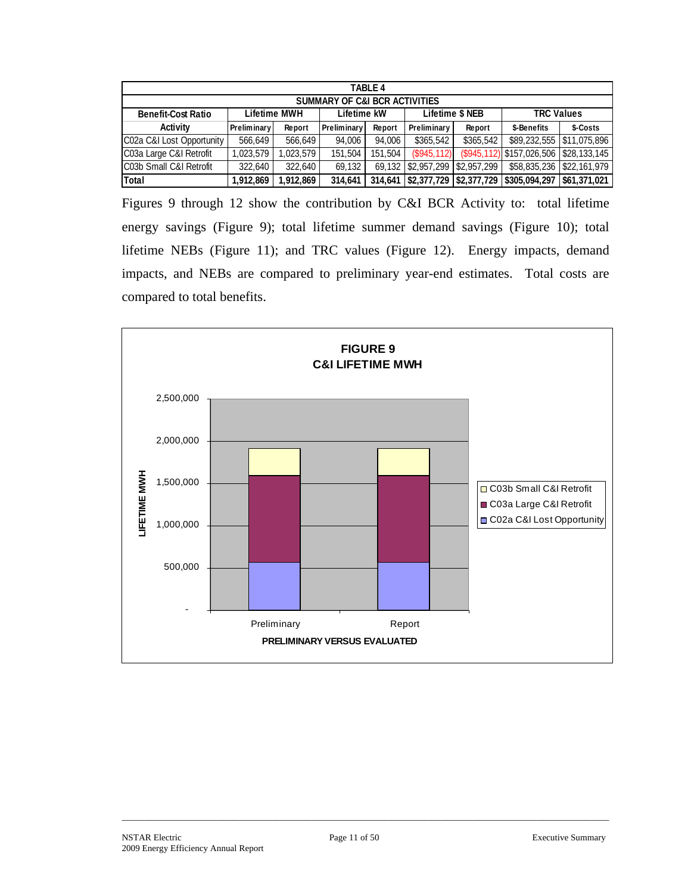| <b>TABLE 4</b>                           |                                                                            |          |             |         |                       |             |                                            |          |  |  |  |  |
|------------------------------------------|----------------------------------------------------------------------------|----------|-------------|---------|-----------------------|-------------|--------------------------------------------|----------|--|--|--|--|
| <b>SUMMARY OF C&amp;I BCR ACTIVITIES</b> |                                                                            |          |             |         |                       |             |                                            |          |  |  |  |  |
| <b>Benefit-Cost Ratio</b>                | <b>TRC Values</b><br>Lifetime \$ NEB<br><b>Lifetime MWH</b><br>Lifetime kW |          |             |         |                       |             |                                            |          |  |  |  |  |
| Activity                                 | Preliminary                                                                | Report   | Preliminary | Report  | Preliminary           | Report      | \$-Benefits                                | \$-Costs |  |  |  |  |
| C02a C&I Lost Opportunity                | 566,649                                                                    | 566,649  | 94,006      | 94.006  | \$365,542             | \$365,542   | \$89,232,555 \$11,075,896                  |          |  |  |  |  |
| C03a Large C&I Retrofit                  | 1,023,579                                                                  | ,023,579 | 151.504     | 151.504 | (\$945, 112)          |             | $(\$945,112)$ \$157,026,506 \\$28,133,145  |          |  |  |  |  |
| IC03b Small C&I Retrofit                 | 322.640                                                                    | 322,640  | 69,132      |         | 69,132 \$2,957,299    | \$2,957,299 | \$58,835,236 \$22,161,979                  |          |  |  |  |  |
| Total                                    | 1,912,869                                                                  | .912,869 | 314.641     |         | 314,641   \$2,377,729 |             | \$2,377,729   \$305,094,297   \$61,371,021 |          |  |  |  |  |

Figures 9 through 12 show the contribution by C&I BCR Activity to: total lifetime energy savings (Figure 9); total lifetime summer demand savings (Figure 10); total lifetime NEBs (Figure 11); and TRC values (Figure 12). Energy impacts, demand impacts, and NEBs are compared to preliminary year-end estimates. Total costs are compared to total benefits.

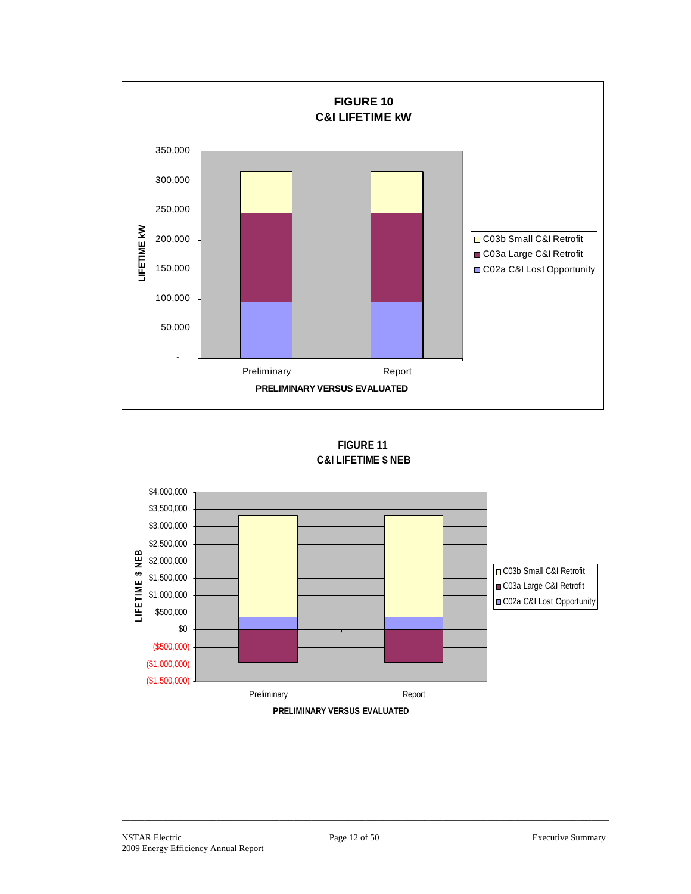

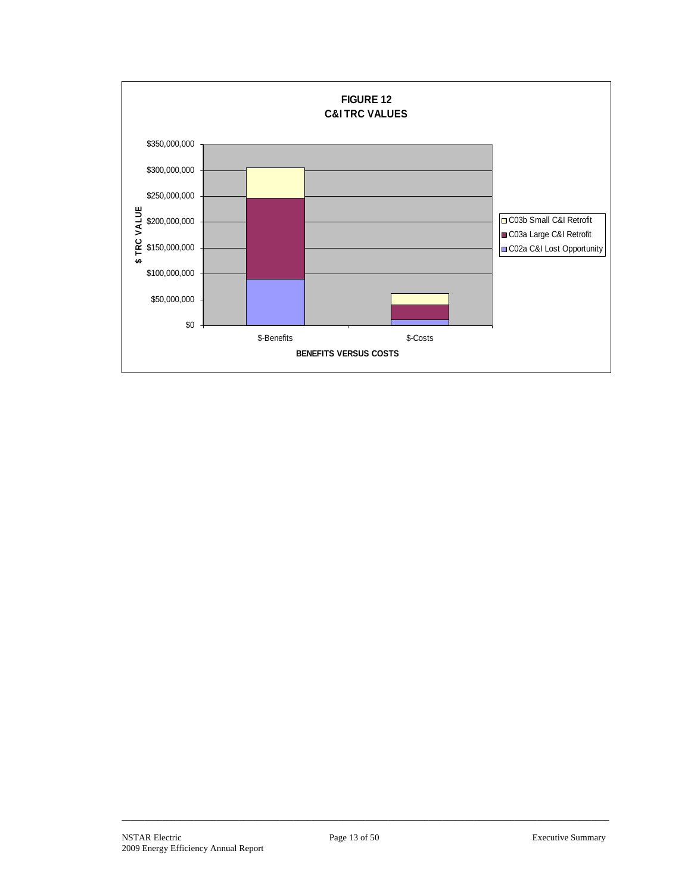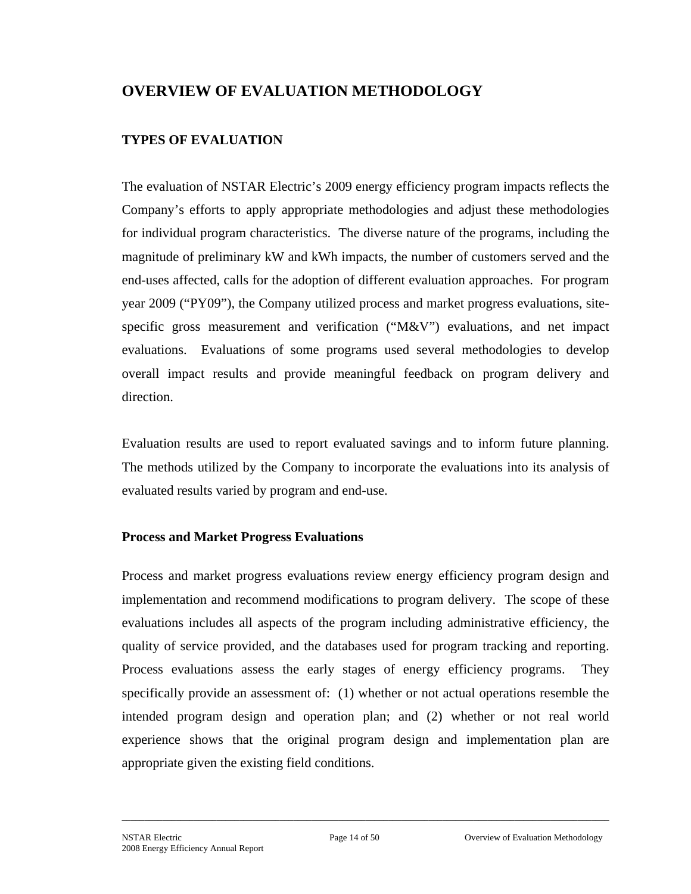# **OVERVIEW OF EVALUATION METHODOLOGY**

# **TYPES OF EVALUATION**

The evaluation of NSTAR Electric's 2009 energy efficiency program impacts reflects the Company's efforts to apply appropriate methodologies and adjust these methodologies for individual program characteristics. The diverse nature of the programs, including the magnitude of preliminary kW and kWh impacts, the number of customers served and the end-uses affected, calls for the adoption of different evaluation approaches. For program year 2009 ("PY09"), the Company utilized process and market progress evaluations, sitespecific gross measurement and verification ("M&V") evaluations, and net impact evaluations. Evaluations of some programs used several methodologies to develop overall impact results and provide meaningful feedback on program delivery and direction.

Evaluation results are used to report evaluated savings and to inform future planning. The methods utilized by the Company to incorporate the evaluations into its analysis of evaluated results varied by program and end-use.

## **Process and Market Progress Evaluations**

Process and market progress evaluations review energy efficiency program design and implementation and recommend modifications to program delivery. The scope of these evaluations includes all aspects of the program including administrative efficiency, the quality of service provided, and the databases used for program tracking and reporting. Process evaluations assess the early stages of energy efficiency programs. They specifically provide an assessment of: (1) whether or not actual operations resemble the intended program design and operation plan; and (2) whether or not real world experience shows that the original program design and implementation plan are appropriate given the existing field conditions.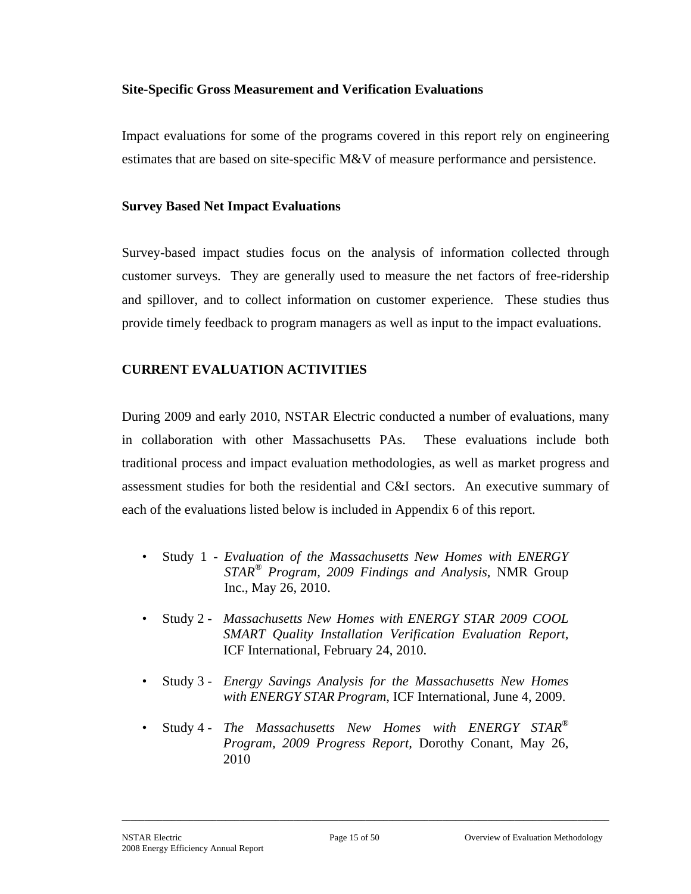## **Site-Specific Gross Measurement and Verification Evaluations**

Impact evaluations for some of the programs covered in this report rely on engineering estimates that are based on site-specific M&V of measure performance and persistence.

#### **Survey Based Net Impact Evaluations**

Survey-based impact studies focus on the analysis of information collected through customer surveys. They are generally used to measure the net factors of free-ridership and spillover, and to collect information on customer experience. These studies thus provide timely feedback to program managers as well as input to the impact evaluations.

## **CURRENT EVALUATION ACTIVITIES**

During 2009 and early 2010, NSTAR Electric conducted a number of evaluations, many in collaboration with other Massachusetts PAs. These evaluations include both traditional process and impact evaluation methodologies, as well as market progress and assessment studies for both the residential and C&I sectors. An executive summary of each of the evaluations listed below is included in Appendix 6 of this report.

- Study 1 *Evaluation of the Massachusetts New Homes with ENERGY STAR® Program, 2009 Findings and Analysis*, NMR Group Inc., May 26, 2010.
- Study 2 *Massachusetts New Homes with ENERGY STAR 2009 COOL SMART Quality Installation Verification Evaluation Report*, ICF International, February 24, 2010.
- Study 3 *Energy Savings Analysis for the Massachusetts New Homes with ENERGY STAR Program*, ICF International, June 4, 2009.
- Study 4 *The Massachusetts New Homes with ENERGY STAR® Program, 2009 Progress Report,* Dorothy Conant, May 26, 2010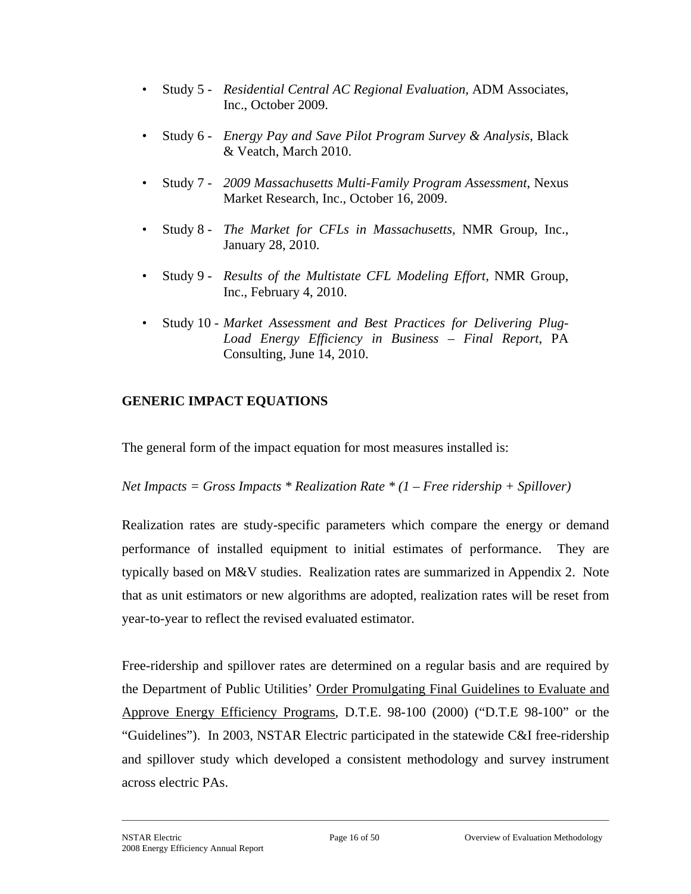- Study 5 *Residential Central AC Regional Evaluation*, ADM Associates, Inc., October 2009.
- Study 6 *Energy Pay and Save Pilot Program Survey & Analysis*, Black & Veatch, March 2010.
- Study 7 *2009 Massachusetts Multi-Family Program Assessment*, Nexus Market Research, Inc., October 16, 2009.
- Study 8 *The Market for CFLs in Massachusetts,* NMR Group, Inc., January 28, 2010.
- Study 9 *Results of the Multistate CFL Modeling Effort,* NMR Group, Inc., February 4, 2010.
- Study 10 *Market Assessment and Best Practices for Delivering Plug-Load Energy Efficiency in Business – Final Report*, PA Consulting, June 14, 2010.

## **GENERIC IMPACT EQUATIONS**

The general form of the impact equation for most measures installed is:

*Net Impacts = Gross Impacts \* Realization Rate \* (1 – Free ridership + Spillover)* 

Realization rates are study-specific parameters which compare the energy or demand performance of installed equipment to initial estimates of performance. They are typically based on M&V studies. Realization rates are summarized in Appendix 2. Note that as unit estimators or new algorithms are adopted, realization rates will be reset from year-to-year to reflect the revised evaluated estimator.

Free-ridership and spillover rates are determined on a regular basis and are required by the Department of Public Utilities' Order Promulgating Final Guidelines to Evaluate and Approve Energy Efficiency Programs, D.T.E. 98-100 (2000) ("D.T.E 98-100" or the "Guidelines"). In 2003, NSTAR Electric participated in the statewide C&I free-ridership and spillover study which developed a consistent methodology and survey instrument across electric PAs.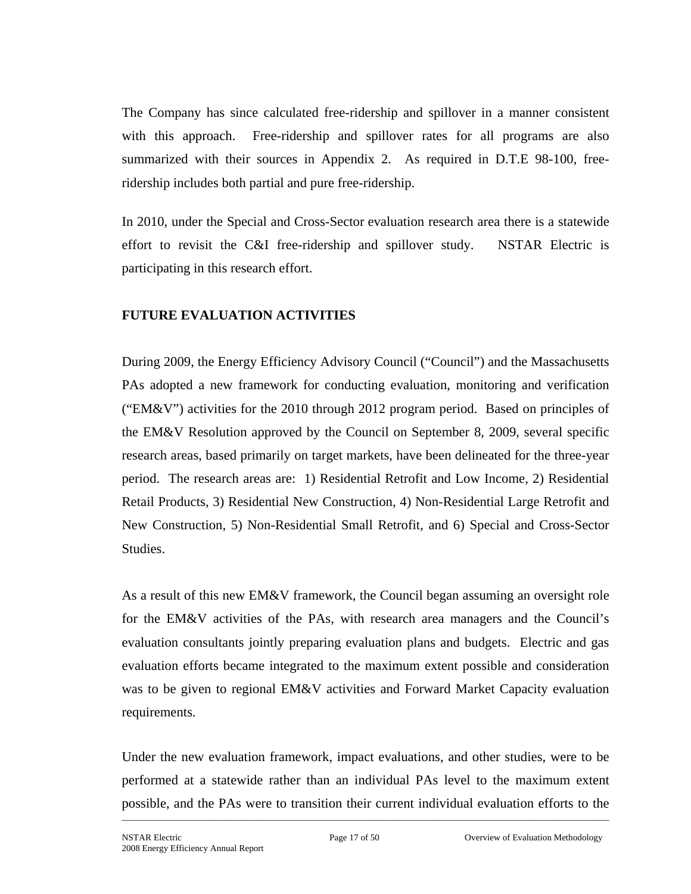The Company has since calculated free-ridership and spillover in a manner consistent with this approach. Free-ridership and spillover rates for all programs are also summarized with their sources in Appendix 2. As required in D.T.E 98-100, freeridership includes both partial and pure free-ridership.

In 2010, under the Special and Cross-Sector evaluation research area there is a statewide effort to revisit the C&I free-ridership and spillover study. NSTAR Electric is participating in this research effort.

## **FUTURE EVALUATION ACTIVITIES**

During 2009, the Energy Efficiency Advisory Council ("Council") and the Massachusetts PAs adopted a new framework for conducting evaluation, monitoring and verification ("EM&V") activities for the 2010 through 2012 program period. Based on principles of the EM&V Resolution approved by the Council on September 8, 2009, several specific research areas, based primarily on target markets, have been delineated for the three-year period. The research areas are: 1) Residential Retrofit and Low Income, 2) Residential Retail Products, 3) Residential New Construction, 4) Non-Residential Large Retrofit and New Construction, 5) Non-Residential Small Retrofit, and 6) Special and Cross-Sector Studies.

As a result of this new EM&V framework, the Council began assuming an oversight role for the EM&V activities of the PAs, with research area managers and the Council's evaluation consultants jointly preparing evaluation plans and budgets. Electric and gas evaluation efforts became integrated to the maximum extent possible and consideration was to be given to regional EM&V activities and Forward Market Capacity evaluation requirements.

Under the new evaluation framework, impact evaluations, and other studies, were to be performed at a statewide rather than an individual PAs level to the maximum extent possible, and the PAs were to transition their current individual evaluation efforts to the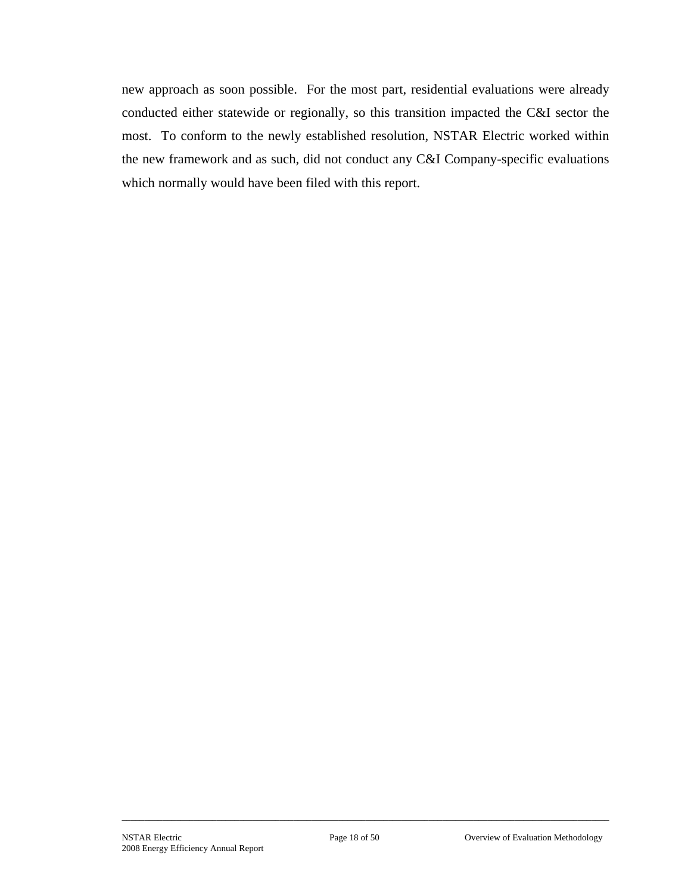new approach as soon possible. For the most part, residential evaluations were already conducted either statewide or regionally, so this transition impacted the C&I sector the most. To conform to the newly established resolution, NSTAR Electric worked within the new framework and as such, did not conduct any C&I Company-specific evaluations which normally would have been filed with this report.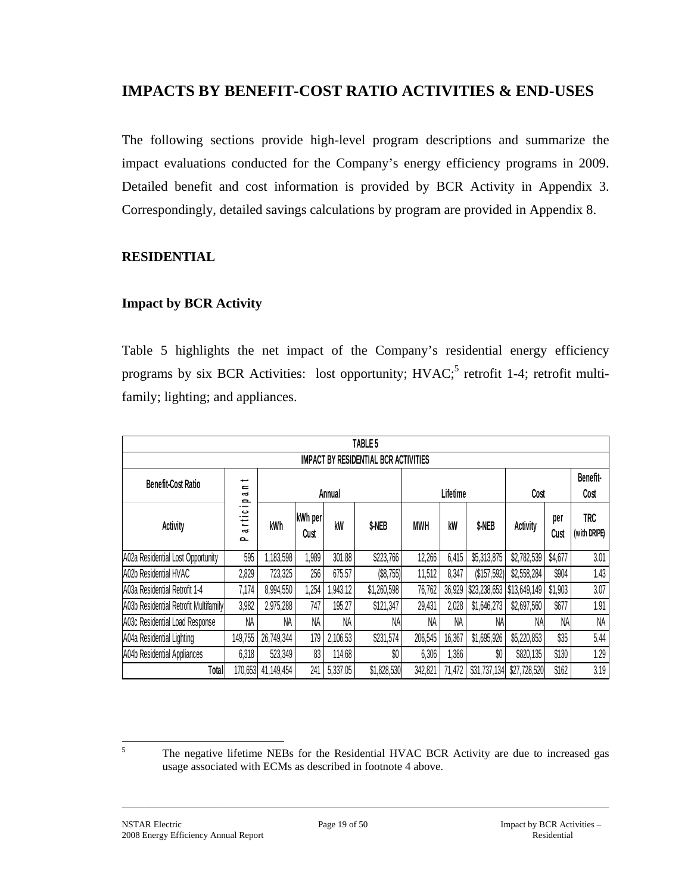# **IMPACTS BY BENEFIT-COST RATIO ACTIVITIES & END-USES**

The following sections provide high-level program descriptions and summarize the impact evaluations conducted for the Company's energy efficiency programs in 2009. Detailed benefit and cost information is provided by BCR Activity in Appendix 3. Correspondingly, detailed savings calculations by program are provided in Appendix 8.

## **RESIDENTIAL**

## **Impact by BCR Activity**

Table 5 highlights the net impact of the Company's residential energy efficiency programs by six BCR Activities: lost opportunity; HVAC;<sup>5</sup> retrofit 1-4; retrofit multifamily; lighting; and appliances.

|                                       |                                                |            |                 |          | TABLE 5     |            |          |                     |              |                  |                     |  |  |  |
|---------------------------------------|------------------------------------------------|------------|-----------------|----------|-------------|------------|----------|---------------------|--------------|------------------|---------------------|--|--|--|
|                                       | <b>IMPACT BY RESIDENTIAL BCR ACTIVITIES</b>    |            |                 |          |             |            |          |                     |              |                  |                     |  |  |  |
| <b>Benefit-Cost Ratio</b>             | مسه<br>$\equiv$<br>$\sim$<br>$\mathbf{\Omega}$ |            | Annual          |          |             |            | Lifetime |                     | Cost         | Benefit-<br>Cost |                     |  |  |  |
| <b>Activity</b>                       | Õ<br>Ξ<br>$\mathbf{a}$<br>൦                    | kWh        | kWh per<br>Cust | kW       | \$-NEB      | <b>MWH</b> | kW       | \$-NEB              | Activity     | per<br>Cust      | TRC<br>(with DRIPE) |  |  |  |
| A02a Residential Lost Opportunity     | 595                                            | ,183,598   | ,989            | 301.88   | \$223,766   | 12,266     | 6,415    | \$5,313,875         | \$2,782,539  | \$4,677          | 3.01                |  |  |  |
| A02b Residential HVAC                 | 2,829                                          | 723,325    | 256             | 675.57   | (\$8,755)   | 11,512     | 8,347    | (\$157,592)         | \$2,558,284  | \$904            | 1.43                |  |  |  |
| A03a Residential Retrofit 1-4         | 7,174                                          | 8,994,550  | ,254            | .943.12  | \$1,260,598 | 76,762     |          | 36,929 \$23,238,653 | \$13,649,149 | \$1,903          | 3.07                |  |  |  |
| A03b Residential Retrofit Multifamily | 3,982                                          | 2,975,288  | 747             | 195.27   | \$121,347   | 29,431     | 2,028    | \$1,646,273         | \$2,697,560  | \$677            | 1.91                |  |  |  |
| A03c Residential Load Response        | NA                                             | NA         | NA              | NA       | NA          | NA         | NA       | NA                  | NA           | <b>NA</b>        | NA                  |  |  |  |
| A04a Residential Lighting             | 149,755                                        | 26,749,344 | 179             | 2,106.53 | \$231,574   | 206,545    | 16,367   | \$1,695,926         | \$5,220,853  | \$35             | 5.44                |  |  |  |
| A04b Residential Appliances           | 6,318                                          | 523,349    | 83              | 114.68   | \$0         | 6,306      | 1,386    | \$0                 | \$820,135    | \$130            | 1.29                |  |  |  |
| Total                                 | 170,653                                        | 41,149,454 | 241             | 5,337.05 | \$1,828,530 | 342,821    | 71,472   | \$31,737,134        | \$27,728,520 | \$162            | 3.19                |  |  |  |

5

The negative lifetime NEBs for the Residential HVAC BCR Activity are due to increased gas usage associated with ECMs as described in footnote 4 above.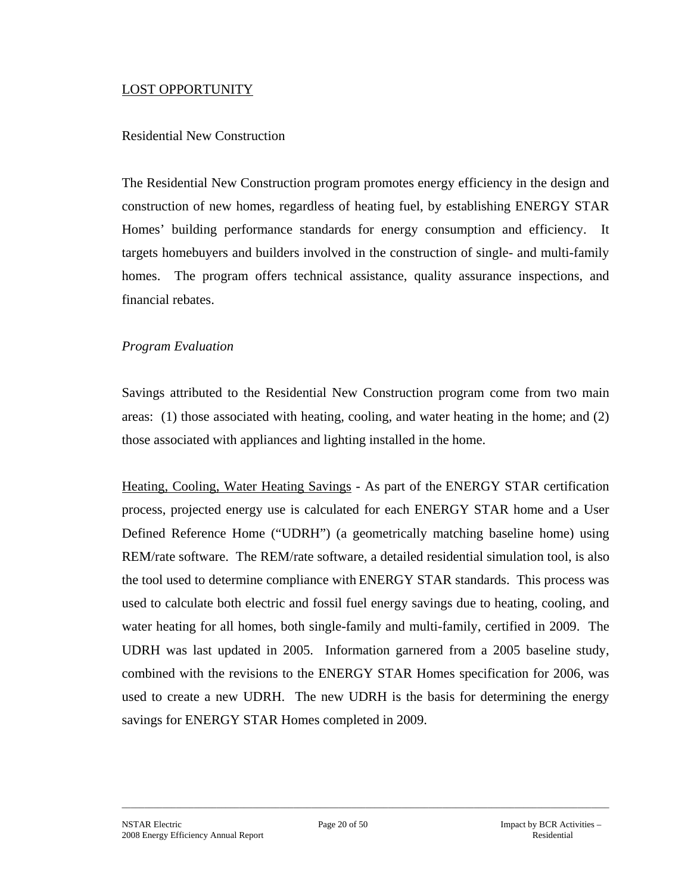#### LOST OPPORTUNITY

#### Residential New Construction

The Residential New Construction program promotes energy efficiency in the design and construction of new homes, regardless of heating fuel, by establishing ENERGY STAR Homes' building performance standards for energy consumption and efficiency. It targets homebuyers and builders involved in the construction of single- and multi-family homes. The program offers technical assistance, quality assurance inspections, and financial rebates.

#### *Program Evaluation*

Savings attributed to the Residential New Construction program come from two main areas: (1) those associated with heating, cooling, and water heating in the home; and (2) those associated with appliances and lighting installed in the home.

Heating, Cooling, Water Heating Savings - As part of the ENERGY STAR certification process, projected energy use is calculated for each ENERGY STAR home and a User Defined Reference Home ("UDRH") (a geometrically matching baseline home) using REM/rate software. The REM/rate software, a detailed residential simulation tool, is also the tool used to determine compliance with ENERGY STAR standards. This process was used to calculate both electric and fossil fuel energy savings due to heating, cooling, and water heating for all homes, both single-family and multi-family, certified in 2009. The UDRH was last updated in 2005. Information garnered from a 2005 baseline study, combined with the revisions to the ENERGY STAR Homes specification for 2006, was used to create a new UDRH. The new UDRH is the basis for determining the energy savings for ENERGY STAR Homes completed in 2009.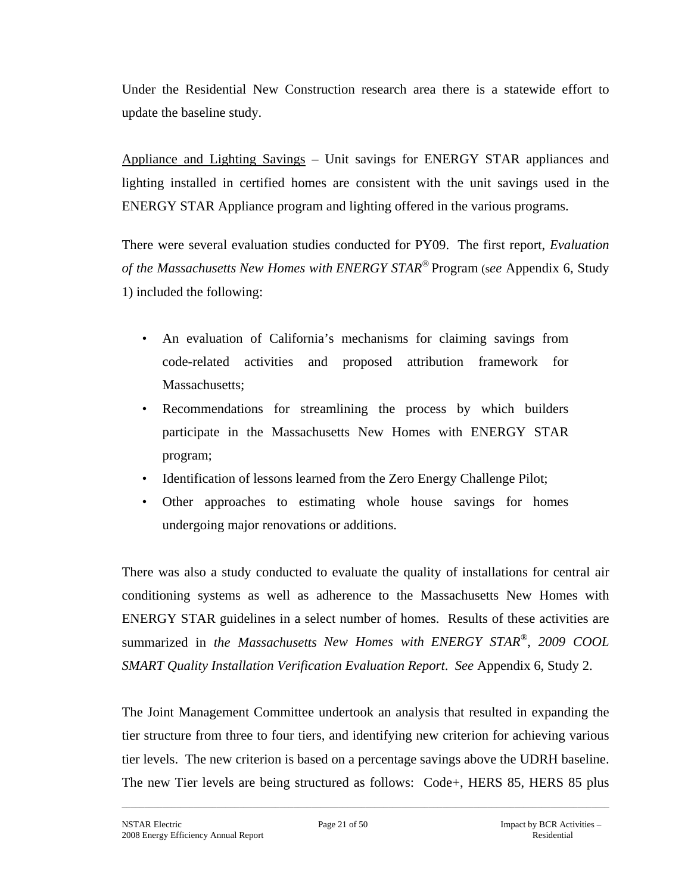Under the Residential New Construction research area there is a statewide effort to update the baseline study.

Appliance and Lighting Savings – Unit savings for ENERGY STAR appliances and lighting installed in certified homes are consistent with the unit savings used in the ENERGY STAR Appliance program and lighting offered in the various programs.

There were several evaluation studies conducted for PY09. The first report, *Evaluation of the Massachusetts New Homes with ENERGY STAR®* Program (s*ee* Appendix 6, Study 1) included the following:

- An evaluation of California's mechanisms for claiming savings from code-related activities and proposed attribution framework for Massachusetts:
- Recommendations for streamlining the process by which builders participate in the Massachusetts New Homes with ENERGY STAR program;
- Identification of lessons learned from the Zero Energy Challenge Pilot;
- Other approaches to estimating whole house savings for homes undergoing major renovations or additions.

There was also a study conducted to evaluate the quality of installations for central air conditioning systems as well as adherence to the Massachusetts New Homes with ENERGY STAR guidelines in a select number of homes. Results of these activities are summarized in *the Massachusetts New Homes with ENERGY STAR®*, *2009 COOL SMART Quality Installation Verification Evaluation Report*. *See* Appendix 6, Study 2.

The Joint Management Committee undertook an analysis that resulted in expanding the tier structure from three to four tiers, and identifying new criterion for achieving various tier levels. The new criterion is based on a percentage savings above the UDRH baseline. The new Tier levels are being structured as follows: Code+, HERS 85, HERS 85 plus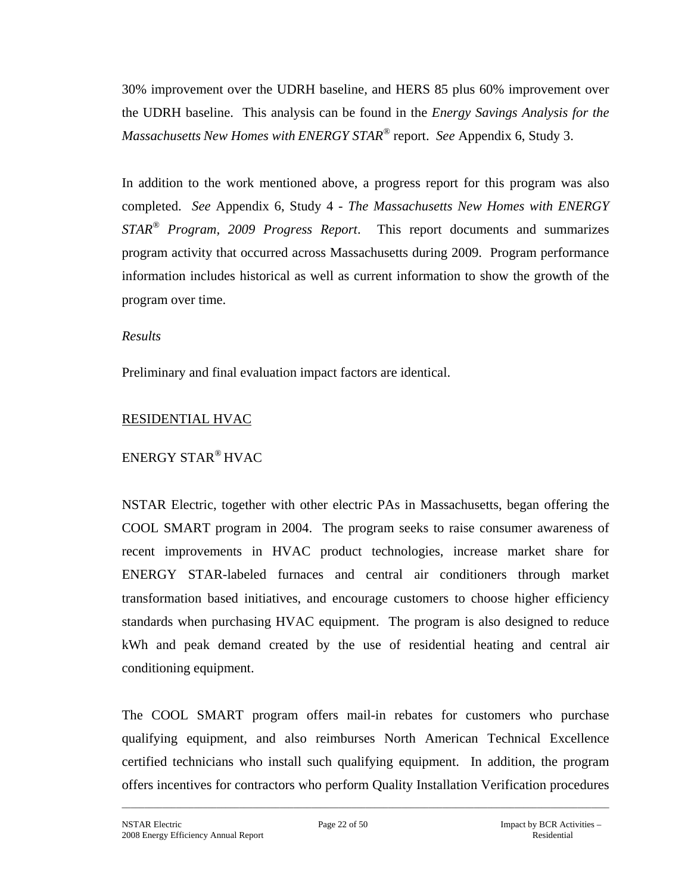30% improvement over the UDRH baseline, and HERS 85 plus 60% improvement over the UDRH baseline. This analysis can be found in the *Energy Savings Analysis for the Massachusetts New Homes with ENERGY STAR®* report. *See* Appendix 6, Study 3.

In addition to the work mentioned above, a progress report for this program was also completed. *See* Appendix 6, Study 4 - *The Massachusetts New Homes with ENERGY STAR® Program, 2009 Progress Report*. This report documents and summarizes program activity that occurred across Massachusetts during 2009. Program performance information includes historical as well as current information to show the growth of the program over time.

#### *Results*

Preliminary and final evaluation impact factors are identical.

## RESIDENTIAL HVAC

# ENERGY STAR® HVAC

NSTAR Electric, together with other electric PAs in Massachusetts, began offering the COOL SMART program in 2004. The program seeks to raise consumer awareness of recent improvements in HVAC product technologies, increase market share for ENERGY STAR-labeled furnaces and central air conditioners through market transformation based initiatives, and encourage customers to choose higher efficiency standards when purchasing HVAC equipment. The program is also designed to reduce kWh and peak demand created by the use of residential heating and central air conditioning equipment.

The COOL SMART program offers mail-in rebates for customers who purchase qualifying equipment, and also reimburses North American Technical Excellence certified technicians who install such qualifying equipment. In addition, the program offers incentives for contractors who perform Quality Installation Verification procedures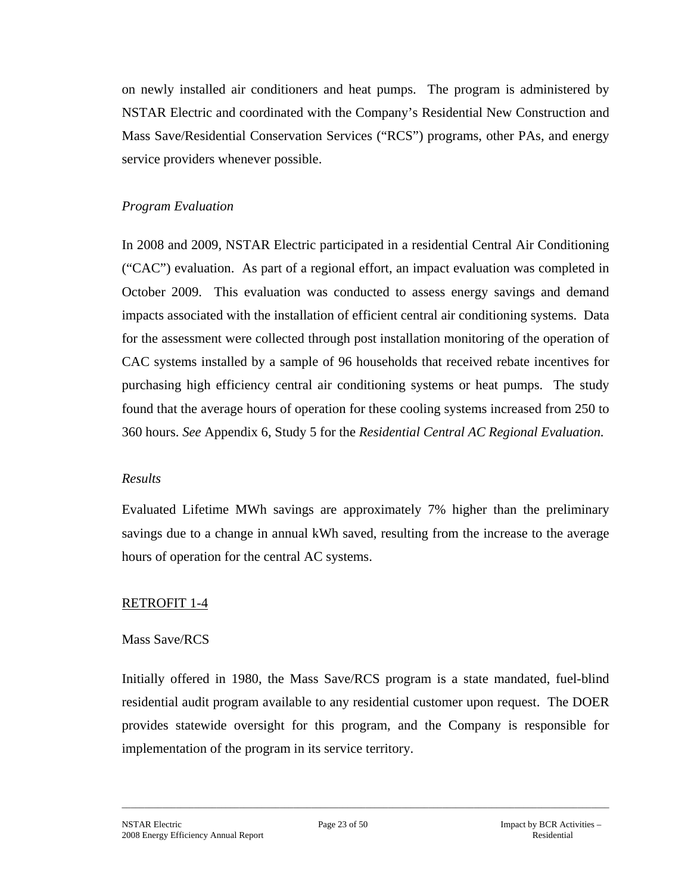on newly installed air conditioners and heat pumps. The program is administered by NSTAR Electric and coordinated with the Company's Residential New Construction and Mass Save/Residential Conservation Services ("RCS") programs, other PAs, and energy service providers whenever possible.

## *Program Evaluation*

In 2008 and 2009, NSTAR Electric participated in a residential Central Air Conditioning ("CAC") evaluation. As part of a regional effort, an impact evaluation was completed in October 2009. This evaluation was conducted to assess energy savings and demand impacts associated with the installation of efficient central air conditioning systems. Data for the assessment were collected through post installation monitoring of the operation of CAC systems installed by a sample of 96 households that received rebate incentives for purchasing high efficiency central air conditioning systems or heat pumps. The study found that the average hours of operation for these cooling systems increased from 250 to 360 hours. *See* Appendix 6, Study 5 for the *Residential Central AC Regional Evaluation*.

#### *Results*

Evaluated Lifetime MWh savings are approximately 7% higher than the preliminary savings due to a change in annual kWh saved, resulting from the increase to the average hours of operation for the central AC systems.

## RETROFIT 1-4

#### Mass Save/RCS

Initially offered in 1980, the Mass Save/RCS program is a state mandated, fuel-blind residential audit program available to any residential customer upon request. The DOER provides statewide oversight for this program, and the Company is responsible for implementation of the program in its service territory.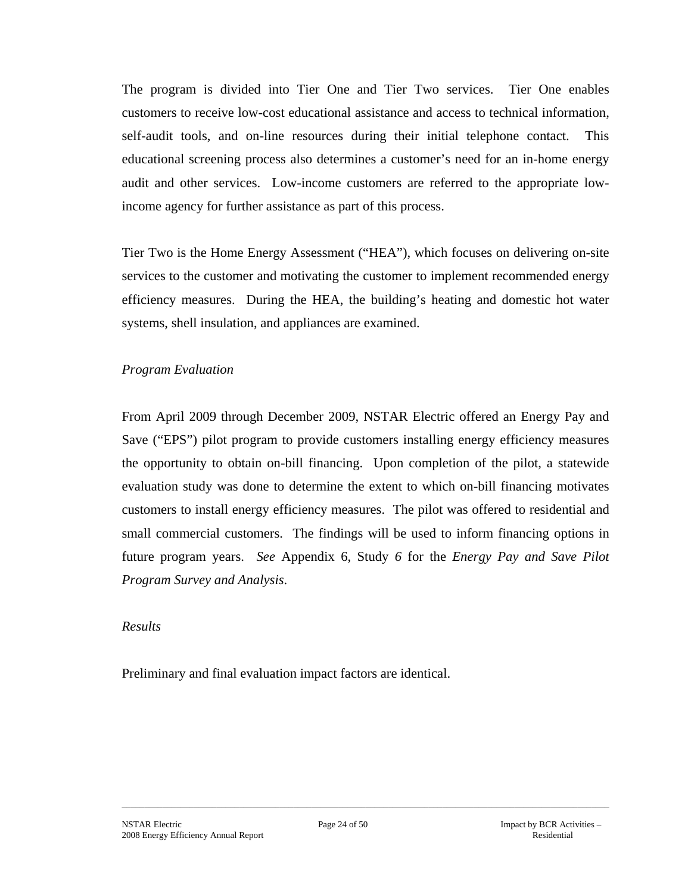The program is divided into Tier One and Tier Two services. Tier One enables customers to receive low-cost educational assistance and access to technical information, self-audit tools, and on-line resources during their initial telephone contact. This educational screening process also determines a customer's need for an in-home energy audit and other services. Low-income customers are referred to the appropriate lowincome agency for further assistance as part of this process.

Tier Two is the Home Energy Assessment ("HEA"), which focuses on delivering on-site services to the customer and motivating the customer to implement recommended energy efficiency measures. During the HEA, the building's heating and domestic hot water systems, shell insulation, and appliances are examined.

## *Program Evaluation*

From April 2009 through December 2009, NSTAR Electric offered an Energy Pay and Save ("EPS") pilot program to provide customers installing energy efficiency measures the opportunity to obtain on-bill financing. Upon completion of the pilot, a statewide evaluation study was done to determine the extent to which on-bill financing motivates customers to install energy efficiency measures. The pilot was offered to residential and small commercial customers. The findings will be used to inform financing options in future program years. *See* Appendix 6, Study *6* for the *Energy Pay and Save Pilot Program Survey and Analysis*.

#### *Results*

Preliminary and final evaluation impact factors are identical.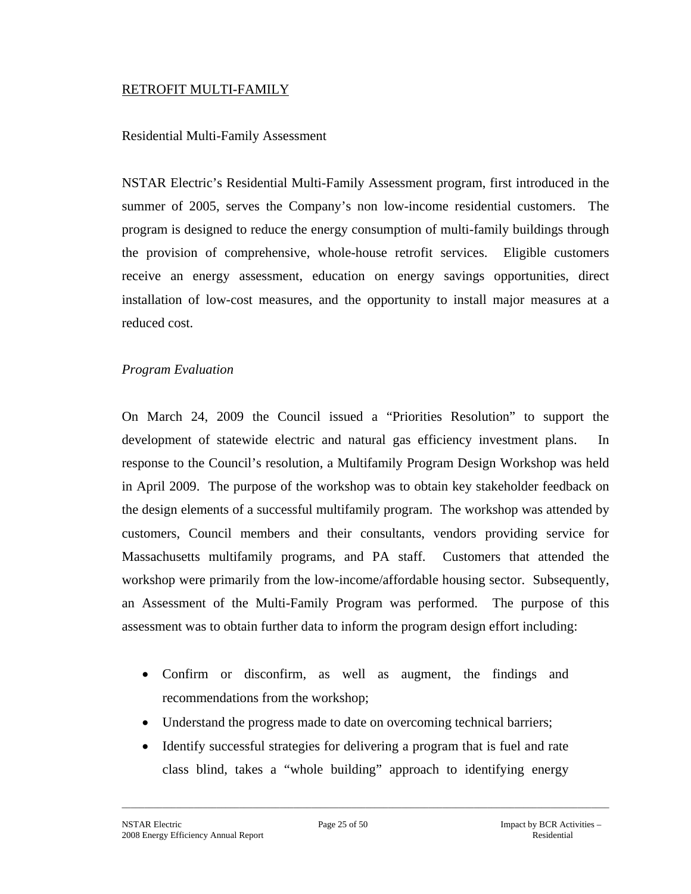#### RETROFIT MULTI-FAMILY

#### Residential Multi-Family Assessment

NSTAR Electric's Residential Multi-Family Assessment program, first introduced in the summer of 2005, serves the Company's non low-income residential customers. The program is designed to reduce the energy consumption of multi-family buildings through the provision of comprehensive, whole-house retrofit services. Eligible customers receive an energy assessment, education on energy savings opportunities, direct installation of low-cost measures, and the opportunity to install major measures at a reduced cost.

## *Program Evaluation*

On March 24, 2009 the Council issued a "Priorities Resolution" to support the development of statewide electric and natural gas efficiency investment plans. In response to the Council's resolution, a Multifamily Program Design Workshop was held in April 2009. The purpose of the workshop was to obtain key stakeholder feedback on the design elements of a successful multifamily program. The workshop was attended by customers, Council members and their consultants, vendors providing service for Massachusetts multifamily programs, and PA staff. Customers that attended the workshop were primarily from the low-income/affordable housing sector. Subsequently, an Assessment of the Multi-Family Program was performed. The purpose of this assessment was to obtain further data to inform the program design effort including:

- Confirm or disconfirm, as well as augment, the findings and recommendations from the workshop;
- Understand the progress made to date on overcoming technical barriers;
- Identify successful strategies for delivering a program that is fuel and rate class blind, takes a "whole building" approach to identifying energy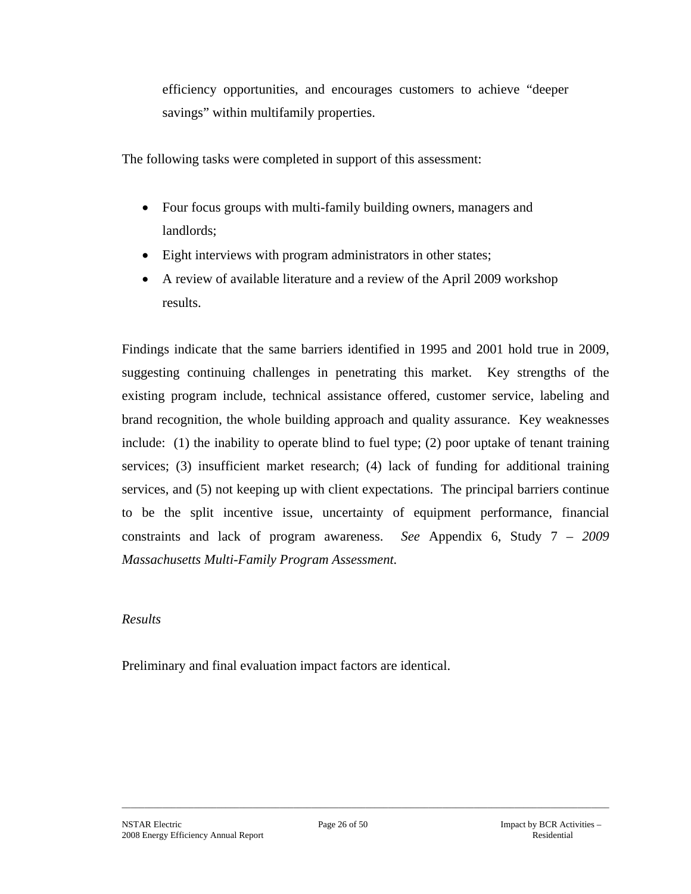efficiency opportunities, and encourages customers to achieve "deeper savings" within multifamily properties.

The following tasks were completed in support of this assessment:

- Four focus groups with multi-family building owners, managers and landlords;
- Eight interviews with program administrators in other states;
- A review of available literature and a review of the April 2009 workshop results.

Findings indicate that the same barriers identified in 1995 and 2001 hold true in 2009, suggesting continuing challenges in penetrating this market. Key strengths of the existing program include, technical assistance offered, customer service, labeling and brand recognition, the whole building approach and quality assurance. Key weaknesses include: (1) the inability to operate blind to fuel type; (2) poor uptake of tenant training services; (3) insufficient market research; (4) lack of funding for additional training services, and (5) not keeping up with client expectations. The principal barriers continue to be the split incentive issue, uncertainty of equipment performance, financial constraints and lack of program awareness. *See* Appendix 6, Study 7 – *2009 Massachusetts Multi-Family Program Assessment.*

## *Results*

Preliminary and final evaluation impact factors are identical.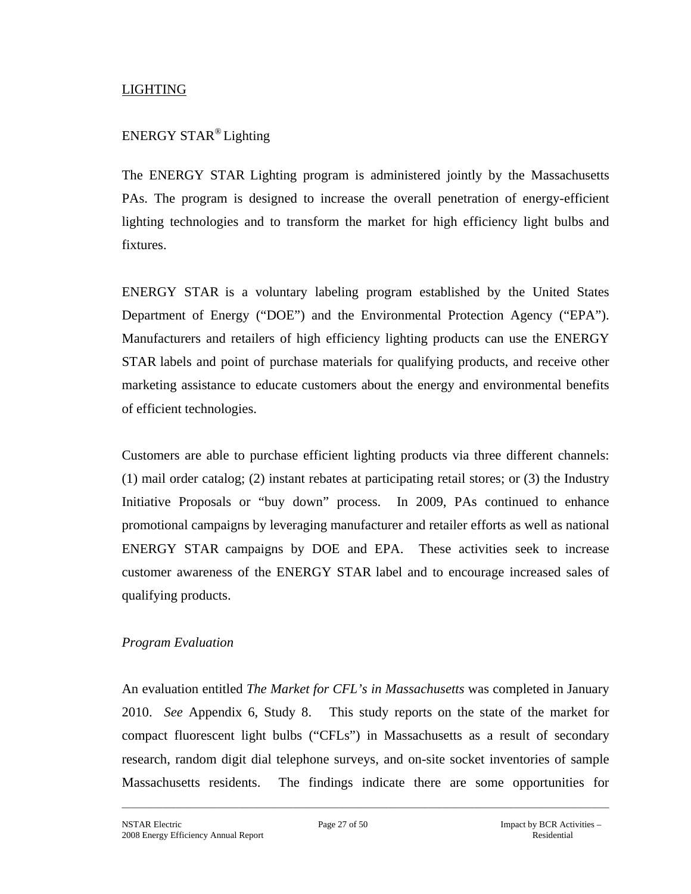## LIGHTING

# ENERGY STAR® Lighting

The ENERGY STAR Lighting program is administered jointly by the Massachusetts PAs. The program is designed to increase the overall penetration of energy-efficient lighting technologies and to transform the market for high efficiency light bulbs and fixtures.

ENERGY STAR is a voluntary labeling program established by the United States Department of Energy ("DOE") and the Environmental Protection Agency ("EPA"). Manufacturers and retailers of high efficiency lighting products can use the ENERGY STAR labels and point of purchase materials for qualifying products, and receive other marketing assistance to educate customers about the energy and environmental benefits of efficient technologies.

Customers are able to purchase efficient lighting products via three different channels: (1) mail order catalog; (2) instant rebates at participating retail stores; or (3) the Industry Initiative Proposals or "buy down" process. In 2009, PAs continued to enhance promotional campaigns by leveraging manufacturer and retailer efforts as well as national ENERGY STAR campaigns by DOE and EPA. These activities seek to increase customer awareness of the ENERGY STAR label and to encourage increased sales of qualifying products.

#### *Program Evaluation*

An evaluation entitled *The Market for CFL's in Massachusetts* was completed in January 2010. *See* Appendix 6, Study 8. This study reports on the state of the market for compact fluorescent light bulbs ("CFLs") in Massachusetts as a result of secondary research, random digit dial telephone surveys, and on-site socket inventories of sample Massachusetts residents. The findings indicate there are some opportunities for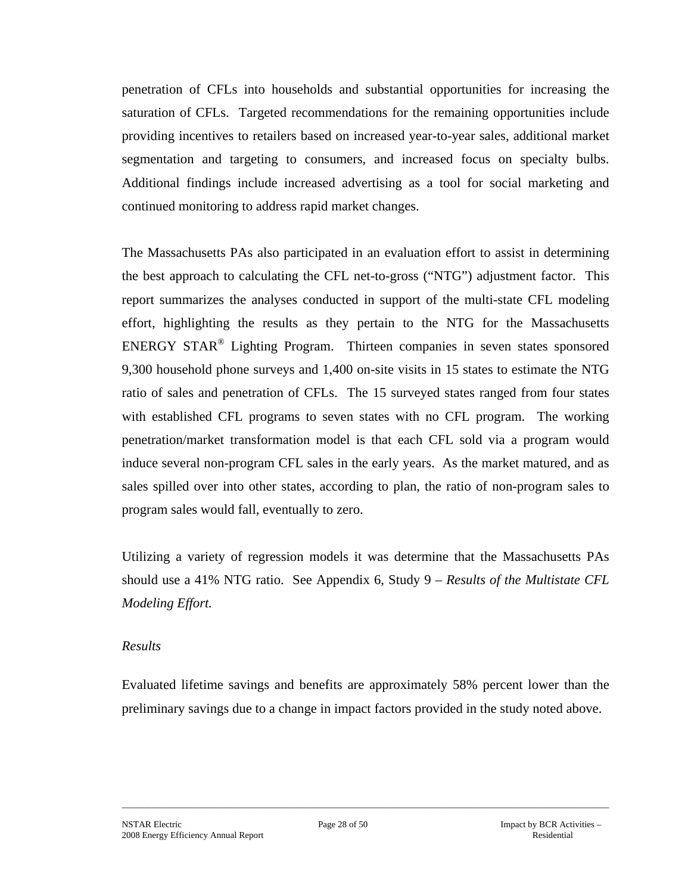penetration of CFLs into households and substantial opportunities for increasing the saturation of CFLs. Targeted recommendations for the remaining opportunities include providing incentives to retailers based on increased year-to-year sales, additional market segmentation and targeting to consumers, and increased focus on specialty bulbs. Additional findings include increased advertising as a tool for social marketing and continued monitoring to address rapid market changes.

The Massachusetts PAs also participated in an evaluation effort to assist in determining the best approach to calculating the CFL net-to-gross ("NTG") adjustment factor. This report summarizes the analyses conducted in support of the multi-state CFL modeling effort, highlighting the results as they pertain to the NTG for the Massachusetts ENERGY STAR® Lighting Program. Thirteen companies in seven states sponsored 9,300 household phone surveys and 1,400 on-site visits in 15 states to estimate the NTG ratio of sales and penetration of CFLs. The 15 surveyed states ranged from four states with established CFL programs to seven states with no CFL program. The working penetration/market transformation model is that each CFL sold via a program would induce several non-program CFL sales in the early years. As the market matured, and as sales spilled over into other states, according to plan, the ratio of non-program sales to program sales would fall, eventually to zero.

Utilizing a variety of regression models it was determine that the Massachusetts PAs should use a 41% NTG ratio. See Appendix 6, Study 9 – *Results of the Multistate CFL Modeling Effort.*

#### *Results*

Evaluated lifetime savings and benefits are approximately 58% percent lower than the preliminary savings due to a change in impact factors provided in the study noted above.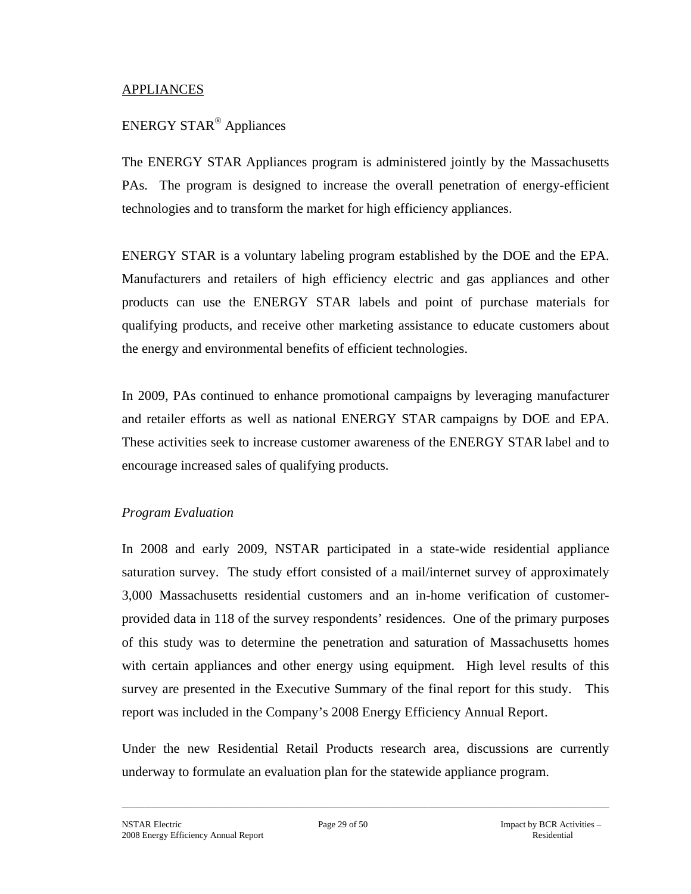#### APPLIANCES

# ENERGY STAR® Appliances

The ENERGY STAR Appliances program is administered jointly by the Massachusetts PAs. The program is designed to increase the overall penetration of energy-efficient technologies and to transform the market for high efficiency appliances.

ENERGY STAR is a voluntary labeling program established by the DOE and the EPA. Manufacturers and retailers of high efficiency electric and gas appliances and other products can use the ENERGY STAR labels and point of purchase materials for qualifying products, and receive other marketing assistance to educate customers about the energy and environmental benefits of efficient technologies.

In 2009, PAs continued to enhance promotional campaigns by leveraging manufacturer and retailer efforts as well as national ENERGY STAR campaigns by DOE and EPA. These activities seek to increase customer awareness of the ENERGY STAR label and to encourage increased sales of qualifying products.

## *Program Evaluation*

In 2008 and early 2009, NSTAR participated in a state-wide residential appliance saturation survey. The study effort consisted of a mail/internet survey of approximately 3,000 Massachusetts residential customers and an in-home verification of customerprovided data in 118 of the survey respondents' residences. One of the primary purposes of this study was to determine the penetration and saturation of Massachusetts homes with certain appliances and other energy using equipment. High level results of this survey are presented in the Executive Summary of the final report for this study. This report was included in the Company's 2008 Energy Efficiency Annual Report.

Under the new Residential Retail Products research area, discussions are currently underway to formulate an evaluation plan for the statewide appliance program.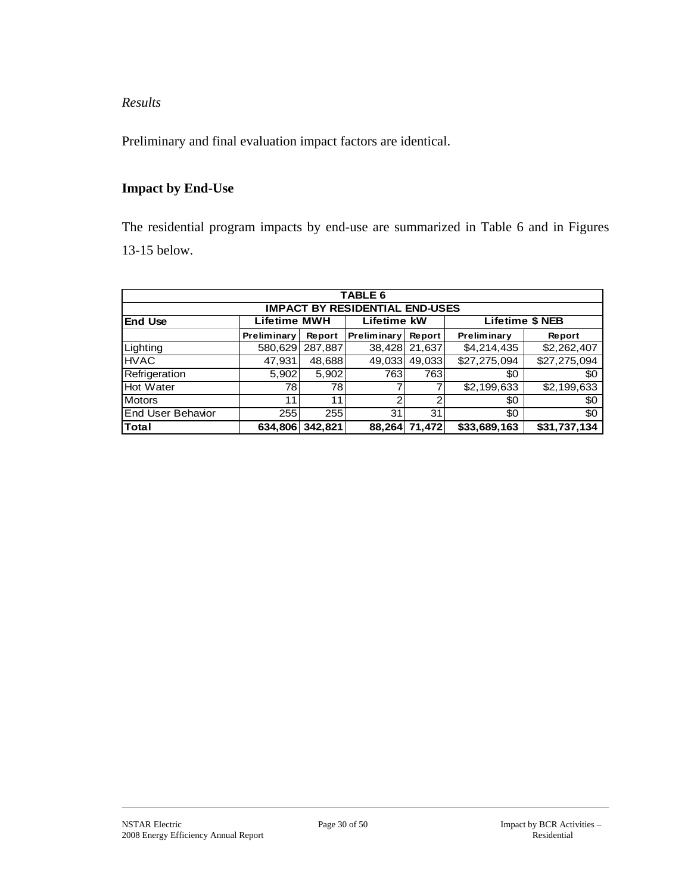*Results* 

Preliminary and final evaluation impact factors are identical.

## **Impact by End-Use**

The residential program impacts by end-use are summarized in Table 6 and in Figures 13-15 below.

|                                       |                               |         | <b>TABLE 6</b>     |        |                        |              |  |  |  |  |  |  |  |
|---------------------------------------|-------------------------------|---------|--------------------|--------|------------------------|--------------|--|--|--|--|--|--|--|
| <b>IMPACT BY RESIDENTIAL END-USES</b> |                               |         |                    |        |                        |              |  |  |  |  |  |  |  |
| <b>End Use</b>                        | <b>Lifetime MWH</b>           |         | Lifetime kW        |        | <b>Lifetime \$ NEB</b> |              |  |  |  |  |  |  |  |
|                                       | Preliminary                   | Report  | <b>Preliminary</b> | Report | <b>Preliminary</b>     | Report       |  |  |  |  |  |  |  |
| Lighting                              | 580,629                       | 287,887 | 38,428             | 21,637 | \$4,214,435            | \$2,262,407  |  |  |  |  |  |  |  |
| <b>HVAC</b>                           | 47,931                        | 48,688  | 49,033             | 49,033 | \$27,275,094           | \$27,275,094 |  |  |  |  |  |  |  |
| Refrigeration                         | 5,902                         | 5,902   | 763                | 763    | \$0                    | \$0          |  |  |  |  |  |  |  |
| <b>Hot Water</b>                      | 78                            | 78I     |                    |        | \$2,199,633            | \$2,199,633  |  |  |  |  |  |  |  |
| <b>Motors</b>                         | 11                            | 11      | ົ                  |        | \$0                    | \$0          |  |  |  |  |  |  |  |
| End User Behavior                     | 255<br>255<br>31<br>31<br>\$0 |         |                    |        |                        |              |  |  |  |  |  |  |  |
| lTotal                                | 634,806                       | 342,821 | 88,264             | 71,472 | \$33,689,163           | \$31,737,134 |  |  |  |  |  |  |  |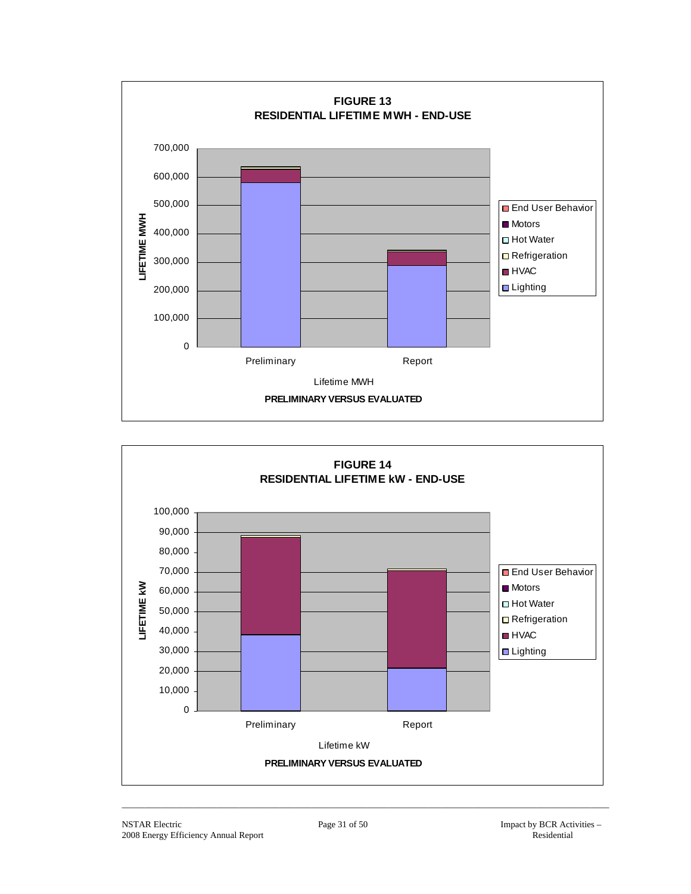

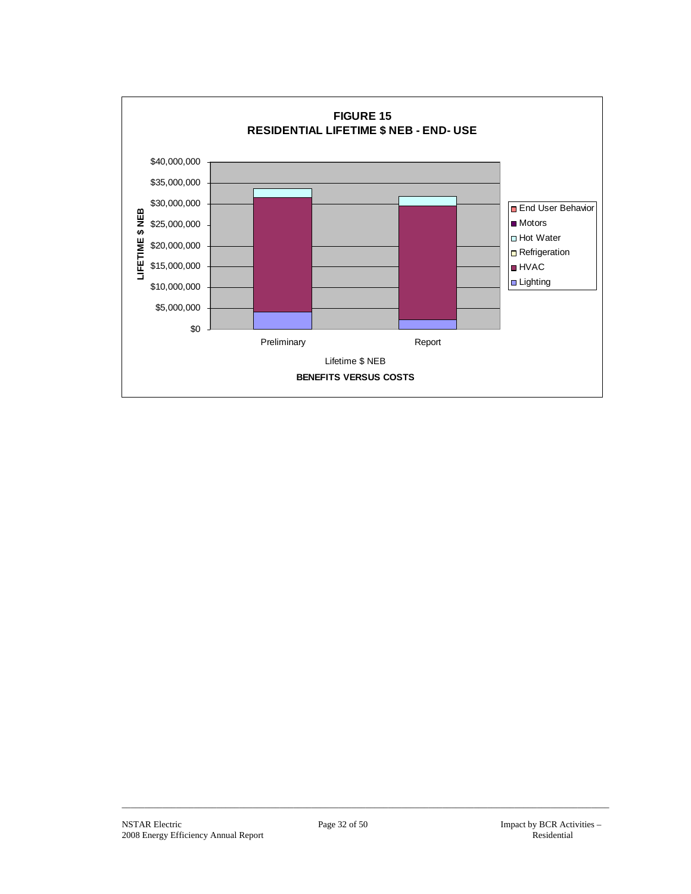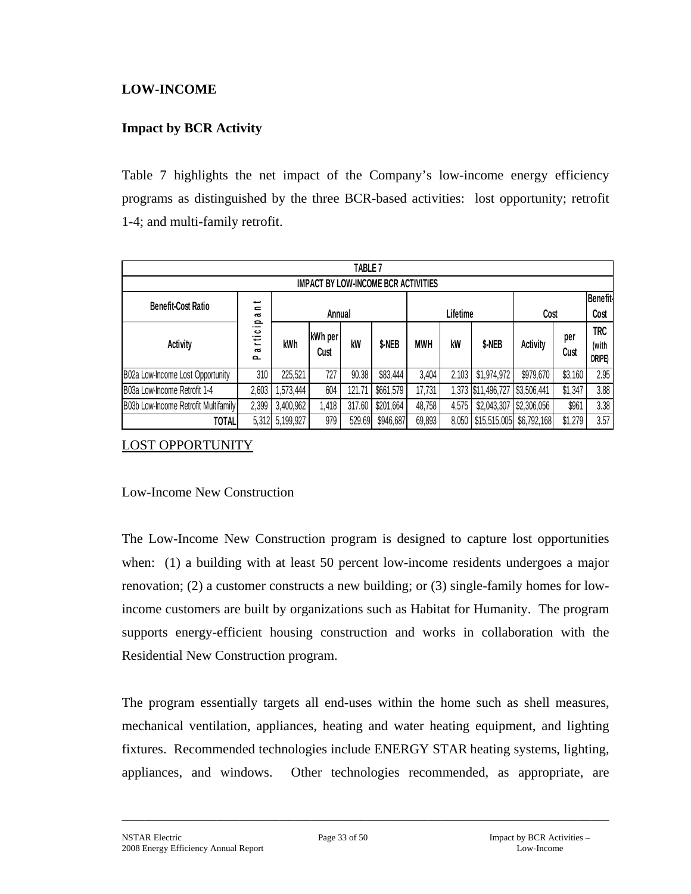## **LOW-INCOME**

## **Impact by BCR Activity**

Table 7 highlights the net impact of the Company's low-income energy efficiency programs as distinguished by the three BCR-based activities: lost opportunity; retrofit 1-4; and multi-family retrofit.

|                                            | TABLE <sub>7</sub>                            |           |                 |        |           |            |       |                    |                 |                 |                                      |  |  |
|--------------------------------------------|-----------------------------------------------|-----------|-----------------|--------|-----------|------------|-------|--------------------|-----------------|-----------------|--------------------------------------|--|--|
| <b>IMPACT BY LOW-INCOME BCR ACTIVITIES</b> |                                               |           |                 |        |           |            |       |                    |                 |                 |                                      |  |  |
| <b>Benefit-Cost Ratio</b>                  | ىپ<br>$\equiv$                                |           |                 |        |           |            |       |                    |                 | <b>Benefit-</b> |                                      |  |  |
|                                            | $\sim$<br>$\mathbf{\Omega}$                   | Annual    |                 |        |           | Lifetime   |       |                    | Cost            |                 | Cost                                 |  |  |
| <b>Activity</b>                            | ._<br><u>ت</u><br>ゼ<br>$\sim$<br>$\mathbf{a}$ | kWh       | kWh per<br>Cust | kW     | \$-NEB    | <b>MWH</b> | kW    | \$-NEB             | <b>Activity</b> | per<br>Cust     | <b>TRC</b><br>(with<br><b>DRIPE)</b> |  |  |
| B02a Low-Income Lost Opportunity           | 310                                           | 225,521   | 727             | 90.38  | \$83,444  | 3,404      | 2,103 | \$1,974,972        | \$979,670       | \$3,160         | 2.95                                 |  |  |
| B03a Low-Income Retrofit 1-4               | 2,603                                         | ,573,444  | 604             | 121.71 | \$661,579 | 17,731     |       | 1,373 \$11,496,727 | \$3,506,441     | \$1,347         | 3.88                                 |  |  |
| B03b Low-Income Retrofit Multifamily       | 2,399                                         | 3,400,962 | .418            | 317.60 | \$201,664 | 48,758     | 4,575 | \$2,043,307        | \$2,306,056     | \$961           | 3.38                                 |  |  |
| <b>TOTAL</b>                               | 5,312                                         | 5,199,927 | 979             | 529.69 | \$946,687 | 69,893     | 8,050 | \$15,515,005       | \$6,792,168     | \$1,279         | 3.57                                 |  |  |

LOST OPPORTUNITY

#### Low-Income New Construction

The Low-Income New Construction program is designed to capture lost opportunities when: (1) a building with at least 50 percent low-income residents undergoes a major renovation; (2) a customer constructs a new building; or (3) single-family homes for lowincome customers are built by organizations such as Habitat for Humanity. The program supports energy-efficient housing construction and works in collaboration with the Residential New Construction program.

The program essentially targets all end-uses within the home such as shell measures, mechanical ventilation, appliances, heating and water heating equipment, and lighting fixtures. Recommended technologies include ENERGY STAR heating systems, lighting, appliances, and windows. Other technologies recommended, as appropriate, are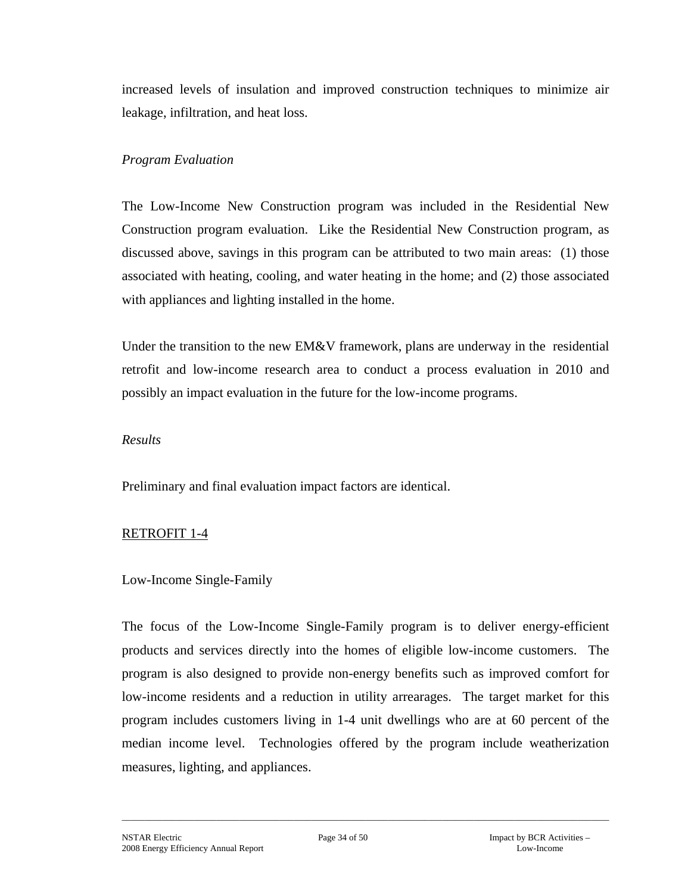increased levels of insulation and improved construction techniques to minimize air leakage, infiltration, and heat loss.

## *Program Evaluation*

The Low-Income New Construction program was included in the Residential New Construction program evaluation. Like the Residential New Construction program, as discussed above, savings in this program can be attributed to two main areas: (1) those associated with heating, cooling, and water heating in the home; and (2) those associated with appliances and lighting installed in the home.

Under the transition to the new  $EM&V$  framework, plans are underway in the residential retrofit and low-income research area to conduct a process evaluation in 2010 and possibly an impact evaluation in the future for the low-income programs.

#### *Results*

Preliminary and final evaluation impact factors are identical.

## RETROFIT 1-4

## Low-Income Single-Family

The focus of the Low-Income Single-Family program is to deliver energy-efficient products and services directly into the homes of eligible low-income customers. The program is also designed to provide non-energy benefits such as improved comfort for low-income residents and a reduction in utility arrearages. The target market for this program includes customers living in 1-4 unit dwellings who are at 60 percent of the median income level. Technologies offered by the program include weatherization measures, lighting, and appliances.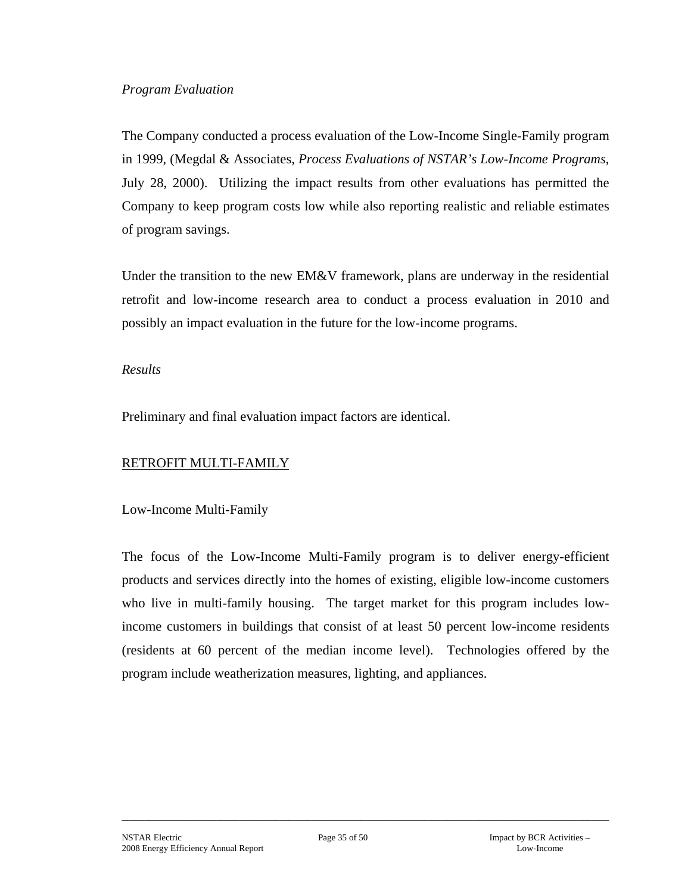#### *Program Evaluation*

The Company conducted a process evaluation of the Low-Income Single-Family program in 1999, (Megdal & Associates, *Process Evaluations of NSTAR's Low-Income Programs*, July 28, 2000). Utilizing the impact results from other evaluations has permitted the Company to keep program costs low while also reporting realistic and reliable estimates of program savings.

Under the transition to the new EM&V framework, plans are underway in the residential retrofit and low-income research area to conduct a process evaluation in 2010 and possibly an impact evaluation in the future for the low-income programs.

#### *Results*

Preliminary and final evaluation impact factors are identical.

## RETROFIT MULTI-FAMILY

Low-Income Multi-Family

The focus of the Low-Income Multi-Family program is to deliver energy-efficient products and services directly into the homes of existing, eligible low-income customers who live in multi-family housing. The target market for this program includes lowincome customers in buildings that consist of at least 50 percent low-income residents (residents at 60 percent of the median income level). Technologies offered by the program include weatherization measures, lighting, and appliances.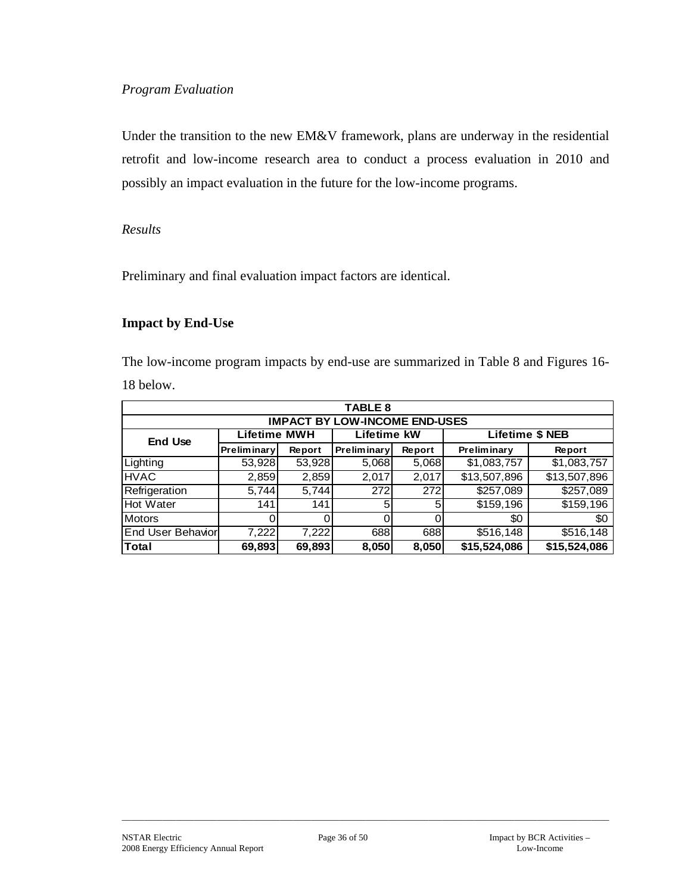## *Program Evaluation*

Under the transition to the new EM&V framework, plans are underway in the residential retrofit and low-income research area to conduct a process evaluation in 2010 and possibly an impact evaluation in the future for the low-income programs.

## *Results*

Preliminary and final evaluation impact factors are identical.

## **Impact by End-Use**

The low-income program impacts by end-use are summarized in Table 8 and Figures 16- 18 below.

|                                      | <b>TABLE 8</b>      |        |                    |          |                        |              |  |  |  |  |  |  |  |
|--------------------------------------|---------------------|--------|--------------------|----------|------------------------|--------------|--|--|--|--|--|--|--|
| <b>IMPACT BY LOW-INCOME END-USES</b> |                     |        |                    |          |                        |              |  |  |  |  |  |  |  |
| <b>End Use</b>                       | <b>Lifetime MWH</b> |        | Lifetime kW        |          | <b>Lifetime \$ NEB</b> |              |  |  |  |  |  |  |  |
|                                      | <b>Preliminary</b>  | Report | <b>Preliminary</b> | Report   | Preliminary            | Report       |  |  |  |  |  |  |  |
| Lighting                             | 53,928              | 53,928 | 5,068              | 5,068    | \$1,083,757            | \$1,083,757  |  |  |  |  |  |  |  |
| <b>HVAC</b>                          | 2,859               | 2,859  | 2,017              | 2,017    | \$13,507,896           | \$13,507,896 |  |  |  |  |  |  |  |
| Refrigeration                        | 5,744               | 5,744  | 272                | 272      | \$257,089              | \$257,089    |  |  |  |  |  |  |  |
| <b>Hot Water</b>                     | 141                 | 141    | 5                  | 5        | \$159,196              | \$159,196    |  |  |  |  |  |  |  |
| <b>Motors</b>                        |                     |        | 0                  | $\Omega$ | \$0                    | \$0          |  |  |  |  |  |  |  |
| <b>End User Behaviorl</b>            | 7,222               | 7,222  | 688                | 688      | \$516,148              | \$516,148    |  |  |  |  |  |  |  |
| <b>Total</b>                         | 69,893              | 69,893 | 8,050              | 8,050    | \$15,524,086           | \$15,524,086 |  |  |  |  |  |  |  |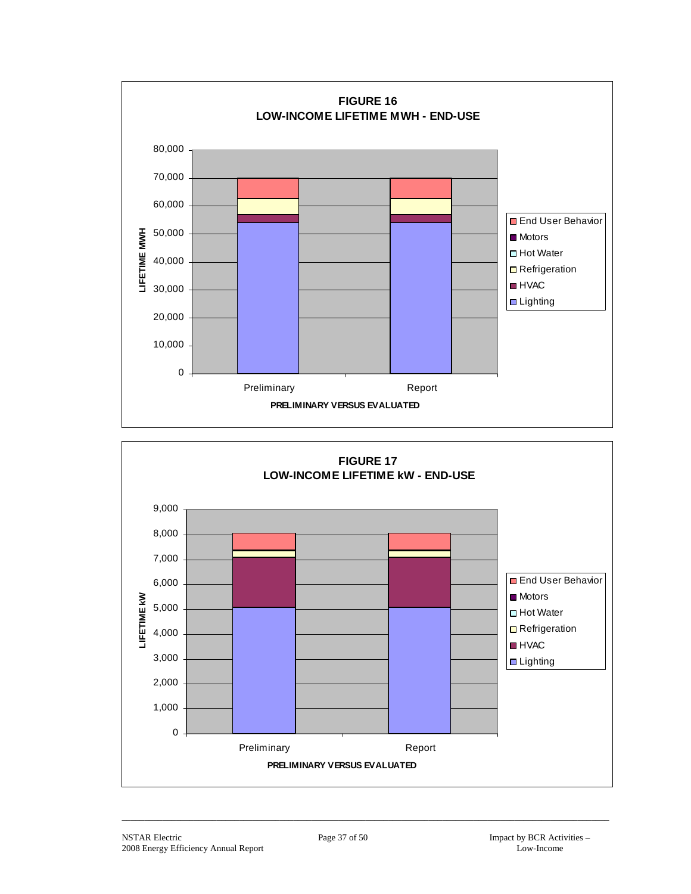

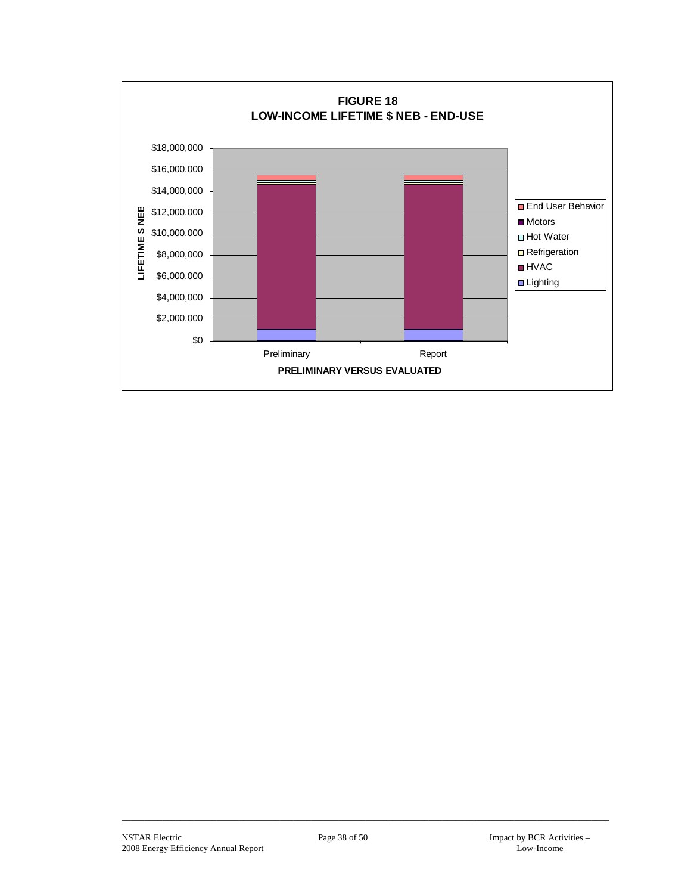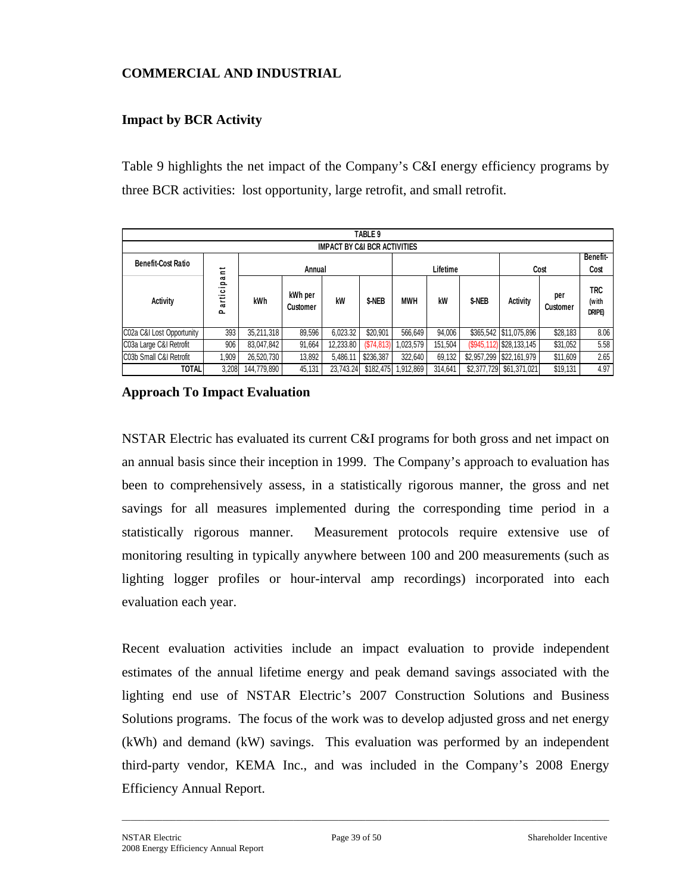## **COMMERCIAL AND INDUSTRIAL**

## **Impact by BCR Activity**

Table 9 highlights the net impact of the Company's C&I energy efficiency programs by three BCR activities: lost opportunity, large retrofit, and small retrofit.

|                                         | TABLE 9                              |             |                     |           |            |                                               |          |             |                          |                 |                               |  |  |
|-----------------------------------------|--------------------------------------|-------------|---------------------|-----------|------------|-----------------------------------------------|----------|-------------|--------------------------|-----------------|-------------------------------|--|--|
| <b>IMPACT BY C&amp;I BCR ACTIVITIES</b> |                                      |             |                     |           |            |                                               |          |             |                          |                 |                               |  |  |
| <b>Benefit-Cost Ratio</b>               |                                      |             |                     |           |            |                                               |          |             |                          | Benefit-        |                               |  |  |
|                                         | ى<br>$\equiv$                        |             | Annual              |           |            |                                               | Lifetime |             |                          | Cost            | Cost                          |  |  |
| <b>Activity</b>                         | $\mathbf{\sigma}$<br>≘<br>artic<br>௳ | kWh         | kWh per<br>Customer | kW        | \$-NEB     | <b>MWH</b><br>kW<br>\$-NEB<br><b>Activity</b> |          |             |                          | per<br>Customer | <b>TRC</b><br>(with<br>DRIPE) |  |  |
| C02a C&I Lost Opportunity               | 393                                  | 35,211,318  | 89,596              | 6,023.32  | \$20,901   | 566.649                                       | 94,006   |             | \$365,542 \$11,075,896   | \$28,183        | 8.06                          |  |  |
| C03a Large C&I Retrofit                 | 906                                  | 83,047,842  | 91,664              | 12,233.80 | (S74, 813) | 1,023,579                                     | 151,504  |             | (\$945,112) \$28,133,145 | \$31,052        | 5.58                          |  |  |
| C03b Small C&I Retrofit                 | 0.909                                | 26,520,730  | 13,892              | 5,486.11  | \$236,387  | 322.640                                       | 69,132   | \$2,957,299 | \$22,161,979             | \$11,609        | 2.65                          |  |  |
| <b>TOTAL</b>                            | 3,208                                | 144,779,890 | 45.131              | 23,743.24 | \$182,475  | 1,912,869                                     | 314,641  | \$2,377,729 | \$61,371,021             | \$19,131        | 4.97                          |  |  |

**Approach To Impact Evaluation** 

NSTAR Electric has evaluated its current C&I programs for both gross and net impact on an annual basis since their inception in 1999. The Company's approach to evaluation has been to comprehensively assess, in a statistically rigorous manner, the gross and net savings for all measures implemented during the corresponding time period in a statistically rigorous manner. Measurement protocols require extensive use of monitoring resulting in typically anywhere between 100 and 200 measurements (such as lighting logger profiles or hour-interval amp recordings) incorporated into each evaluation each year.

Recent evaluation activities include an impact evaluation to provide independent estimates of the annual lifetime energy and peak demand savings associated with the lighting end use of NSTAR Electric's 2007 Construction Solutions and Business Solutions programs. The focus of the work was to develop adjusted gross and net energy (kWh) and demand (kW) savings. This evaluation was performed by an independent third-party vendor, KEMA Inc., and was included in the Company's 2008 Energy Efficiency Annual Report.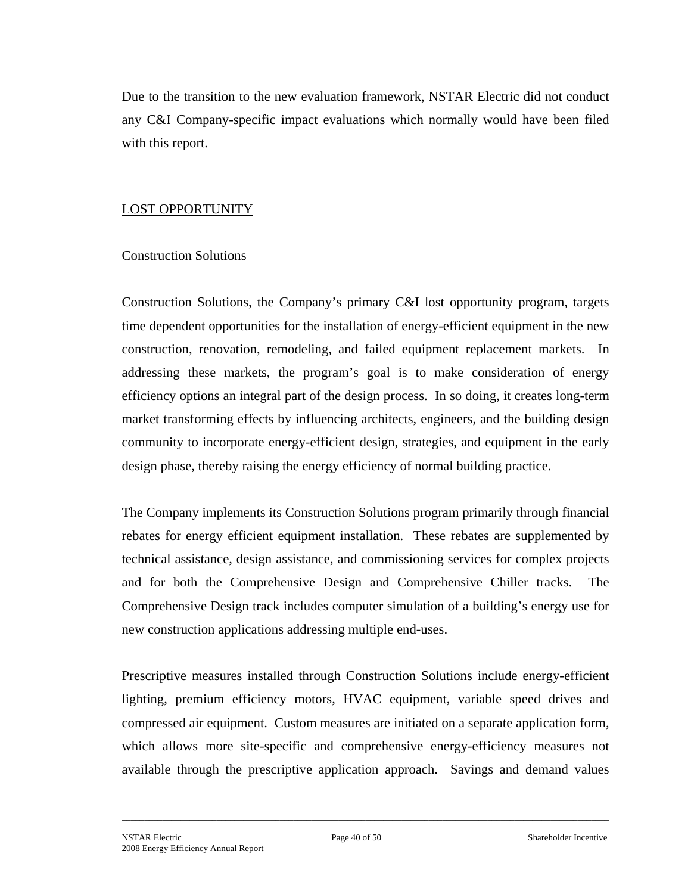Due to the transition to the new evaluation framework, NSTAR Electric did not conduct any C&I Company-specific impact evaluations which normally would have been filed with this report.

## LOST OPPORTUNITY

## Construction Solutions

Construction Solutions, the Company's primary C&I lost opportunity program, targets time dependent opportunities for the installation of energy-efficient equipment in the new construction, renovation, remodeling, and failed equipment replacement markets. In addressing these markets, the program's goal is to make consideration of energy efficiency options an integral part of the design process. In so doing, it creates long-term market transforming effects by influencing architects, engineers, and the building design community to incorporate energy-efficient design, strategies, and equipment in the early design phase, thereby raising the energy efficiency of normal building practice.

The Company implements its Construction Solutions program primarily through financial rebates for energy efficient equipment installation. These rebates are supplemented by technical assistance, design assistance, and commissioning services for complex projects and for both the Comprehensive Design and Comprehensive Chiller tracks. The Comprehensive Design track includes computer simulation of a building's energy use for new construction applications addressing multiple end-uses.

Prescriptive measures installed through Construction Solutions include energy-efficient lighting, premium efficiency motors, HVAC equipment, variable speed drives and compressed air equipment. Custom measures are initiated on a separate application form, which allows more site-specific and comprehensive energy-efficiency measures not available through the prescriptive application approach. Savings and demand values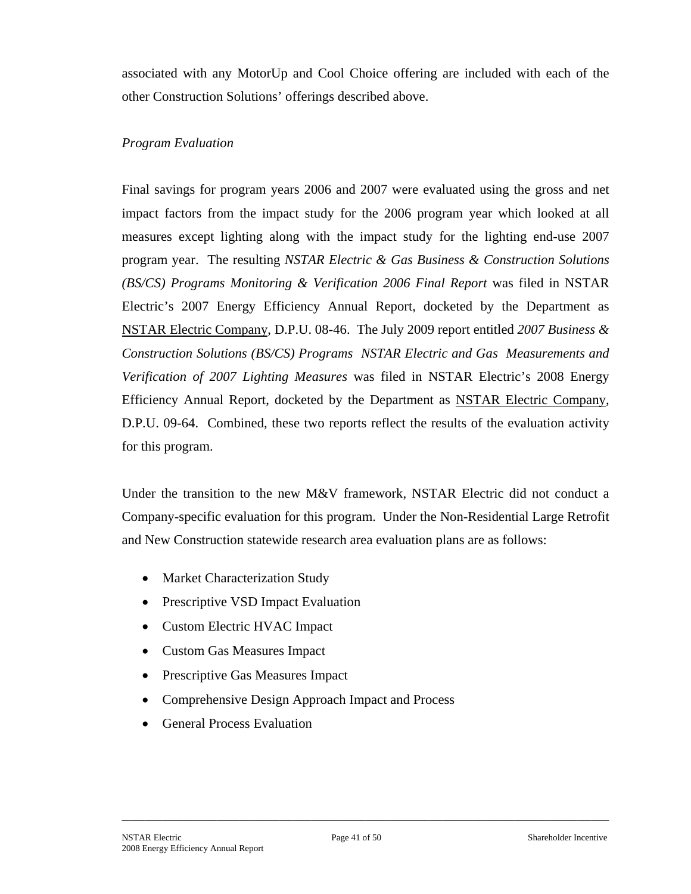associated with any MotorUp and Cool Choice offering are included with each of the other Construction Solutions' offerings described above.

## *Program Evaluation*

Final savings for program years 2006 and 2007 were evaluated using the gross and net impact factors from the impact study for the 2006 program year which looked at all measures except lighting along with the impact study for the lighting end-use 2007 program year. The resulting *NSTAR Electric & Gas Business & Construction Solutions (BS/CS) Programs Monitoring & Verification 2006 Final Report* was filed in NSTAR Electric's 2007 Energy Efficiency Annual Report, docketed by the Department as NSTAR Electric Company, D.P.U. 08-46. The July 2009 report entitled *2007 Business & Construction Solutions (BS/CS) Programs NSTAR Electric and Gas Measurements and Verification of 2007 Lighting Measures* was filed in NSTAR Electric's 2008 Energy Efficiency Annual Report, docketed by the Department as NSTAR Electric Company, D.P.U. 09-64.Combined, these two reports reflect the results of the evaluation activity for this program.

Under the transition to the new M&V framework, NSTAR Electric did not conduct a Company-specific evaluation for this program. Under the Non-Residential Large Retrofit and New Construction statewide research area evaluation plans are as follows:

- Market Characterization Study
- Prescriptive VSD Impact Evaluation
- Custom Electric HVAC Impact
- Custom Gas Measures Impact
- Prescriptive Gas Measures Impact
- Comprehensive Design Approach Impact and Process
- General Process Evaluation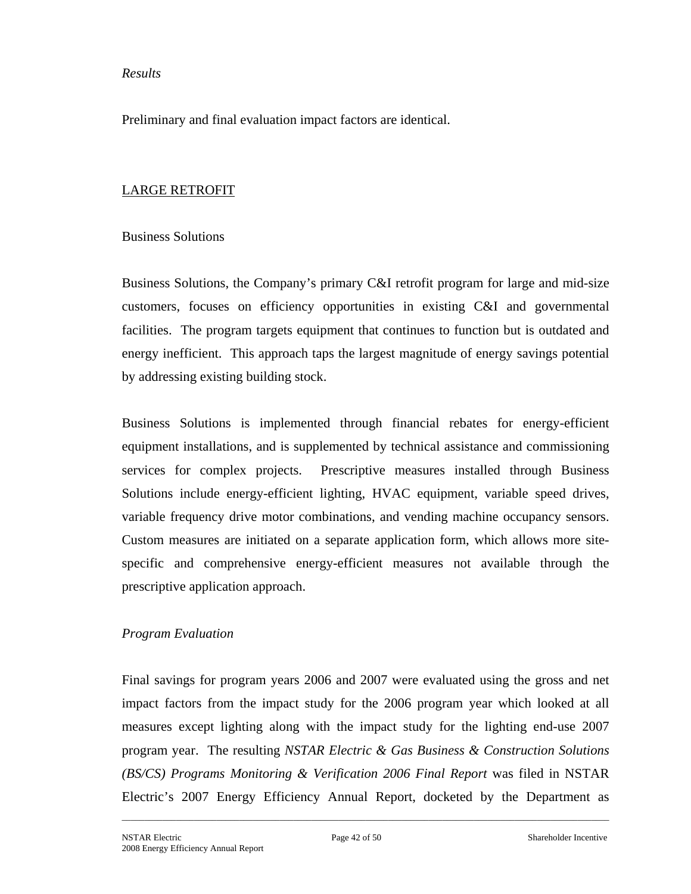#### *Results*

Preliminary and final evaluation impact factors are identical.

## LARGE RETROFIT

#### Business Solutions

Business Solutions, the Company's primary C&I retrofit program for large and mid-size customers, focuses on efficiency opportunities in existing C&I and governmental facilities. The program targets equipment that continues to function but is outdated and energy inefficient. This approach taps the largest magnitude of energy savings potential by addressing existing building stock.

Business Solutions is implemented through financial rebates for energy-efficient equipment installations, and is supplemented by technical assistance and commissioning services for complex projects. Prescriptive measures installed through Business Solutions include energy-efficient lighting, HVAC equipment, variable speed drives, variable frequency drive motor combinations, and vending machine occupancy sensors. Custom measures are initiated on a separate application form, which allows more sitespecific and comprehensive energy-efficient measures not available through the prescriptive application approach.

#### *Program Evaluation*

Final savings for program years 2006 and 2007 were evaluated using the gross and net impact factors from the impact study for the 2006 program year which looked at all measures except lighting along with the impact study for the lighting end-use 2007 program year. The resulting *NSTAR Electric & Gas Business & Construction Solutions (BS/CS) Programs Monitoring & Verification 2006 Final Report* was filed in NSTAR Electric's 2007 Energy Efficiency Annual Report, docketed by the Department as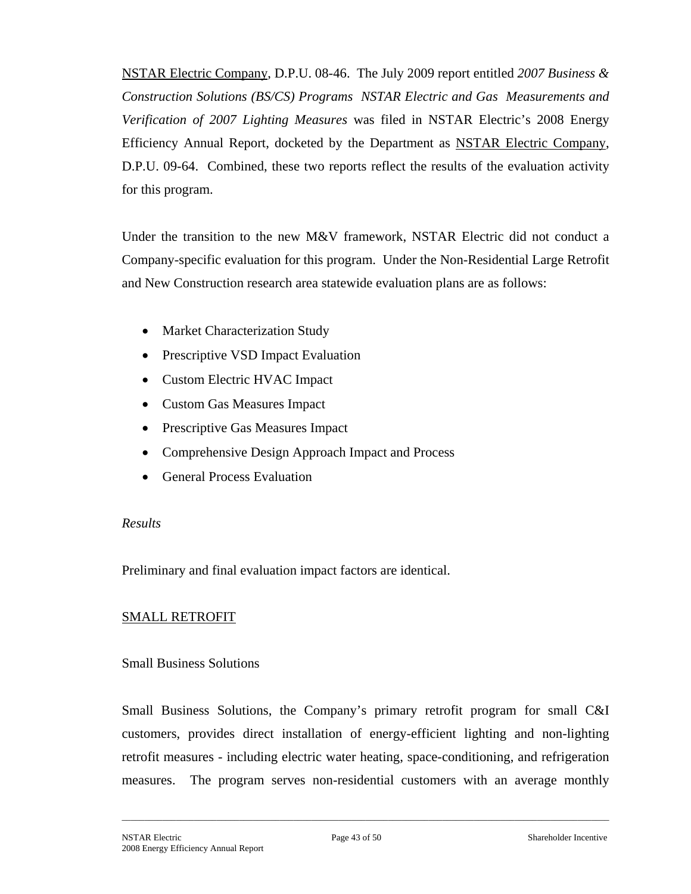NSTAR Electric Company, D.P.U. 08-46. The July 2009 report entitled *2007 Business & Construction Solutions (BS/CS) Programs NSTAR Electric and Gas Measurements and Verification of 2007 Lighting Measures* was filed in NSTAR Electric's 2008 Energy Efficiency Annual Report, docketed by the Department as NSTAR Electric Company, D.P.U. 09-64.Combined, these two reports reflect the results of the evaluation activity for this program.

Under the transition to the new M&V framework, NSTAR Electric did not conduct a Company-specific evaluation for this program. Under the Non-Residential Large Retrofit and New Construction research area statewide evaluation plans are as follows:

- Market Characterization Study
- Prescriptive VSD Impact Evaluation
- Custom Electric HVAC Impact
- Custom Gas Measures Impact
- Prescriptive Gas Measures Impact
- Comprehensive Design Approach Impact and Process
- General Process Evaluation

#### *Results*

Preliminary and final evaluation impact factors are identical.

## SMALL RETROFIT

## Small Business Solutions

Small Business Solutions, the Company's primary retrofit program for small C&I customers, provides direct installation of energy-efficient lighting and non-lighting retrofit measures - including electric water heating, space-conditioning, and refrigeration measures. The program serves non-residential customers with an average monthly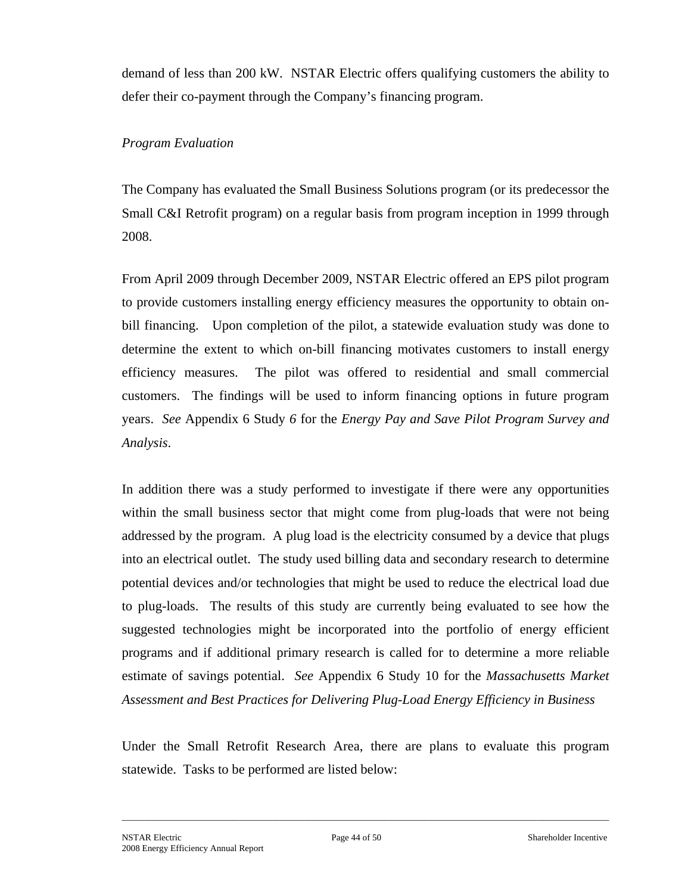demand of less than 200 kW. NSTAR Electric offers qualifying customers the ability to defer their co-payment through the Company's financing program.

## *Program Evaluation*

The Company has evaluated the Small Business Solutions program (or its predecessor the Small C&I Retrofit program) on a regular basis from program inception in 1999 through 2008.

From April 2009 through December 2009, NSTAR Electric offered an EPS pilot program to provide customers installing energy efficiency measures the opportunity to obtain onbill financing. Upon completion of the pilot, a statewide evaluation study was done to determine the extent to which on-bill financing motivates customers to install energy efficiency measures. The pilot was offered to residential and small commercial customers. The findings will be used to inform financing options in future program years. *See* Appendix 6 Study *6* for the *Energy Pay and Save Pilot Program Survey and Analysis*.

In addition there was a study performed to investigate if there were any opportunities within the small business sector that might come from plug-loads that were not being addressed by the program. A plug load is the electricity consumed by a device that plugs into an electrical outlet. The study used billing data and secondary research to determine potential devices and/or technologies that might be used to reduce the electrical load due to plug-loads. The results of this study are currently being evaluated to see how the suggested technologies might be incorporated into the portfolio of energy efficient programs and if additional primary research is called for to determine a more reliable estimate of savings potential. *See* Appendix 6 Study 10 for the *Massachusetts Market Assessment and Best Practices for Delivering Plug-Load Energy Efficiency in Business*

Under the Small Retrofit Research Area, there are plans to evaluate this program statewide. Tasks to be performed are listed below: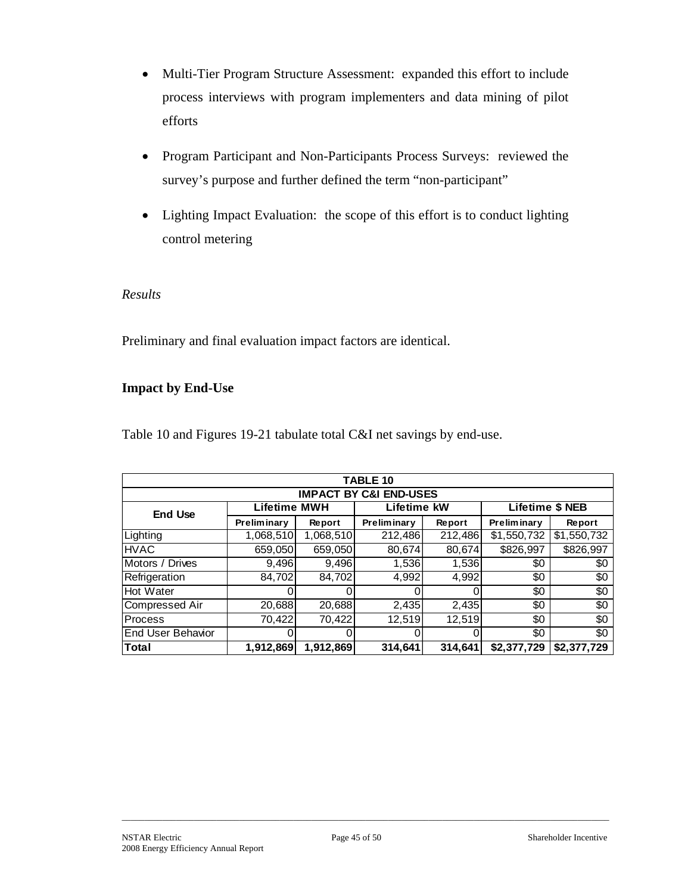- Multi-Tier Program Structure Assessment: expanded this effort to include process interviews with program implementers and data mining of pilot efforts
- Program Participant and Non-Participants Process Surveys: reviewed the survey's purpose and further defined the term "non-participant"
- Lighting Impact Evaluation: the scope of this effort is to conduct lighting control metering

## *Results*

Preliminary and final evaluation impact factors are identical.

## **Impact by End-Use**

Table 10 and Figures 19-21 tabulate total C&I net savings by end-use.

|                                   |                     |           | <b>TABLE 10</b> |         |                        |             |  |  |  |  |  |  |  |
|-----------------------------------|---------------------|-----------|-----------------|---------|------------------------|-------------|--|--|--|--|--|--|--|
| <b>IMPACT BY C&amp;I END-USES</b> |                     |           |                 |         |                        |             |  |  |  |  |  |  |  |
| <b>End Use</b>                    | <b>Lifetime MWH</b> |           | Lifetime kW     |         | <b>Lifetime \$ NEB</b> |             |  |  |  |  |  |  |  |
|                                   | Preliminary         | Report    | Preliminary     | Report  | Preliminary            | Report      |  |  |  |  |  |  |  |
| Lighting                          | 1,068,510           | 1,068,510 | 212,486         | 212,486 | \$1,550,732            | \$1,550,732 |  |  |  |  |  |  |  |
| <b>HVAC</b>                       | 659,050             | 659,050   | 80,674          | 80,674  | \$826,997              | \$826,997   |  |  |  |  |  |  |  |
| Motors / Drives                   | 9,496               | 9,496     | 1,536           | 1,536   | \$0                    | \$0         |  |  |  |  |  |  |  |
| Refrigeration                     | 84,702              | 84,702    | 4,992           | 4,992   | \$0                    | \$0         |  |  |  |  |  |  |  |
| Hot Water                         |                     |           |                 |         | \$0                    | \$0         |  |  |  |  |  |  |  |
| Compressed Air                    | 20,688              | 20,688    | 2,435           | 2,435   | \$0                    | \$0         |  |  |  |  |  |  |  |
| Process                           | 70,422              | 70,422    | 12,519          | 12,519  | \$0                    | \$0         |  |  |  |  |  |  |  |
| lEnd User Behavior                |                     |           |                 |         | \$0                    | \$0         |  |  |  |  |  |  |  |
| <b>Total</b>                      | 1,912,869           | 1,912,869 | 314,641         | 314,641 | \$2,377,729            | \$2,377,729 |  |  |  |  |  |  |  |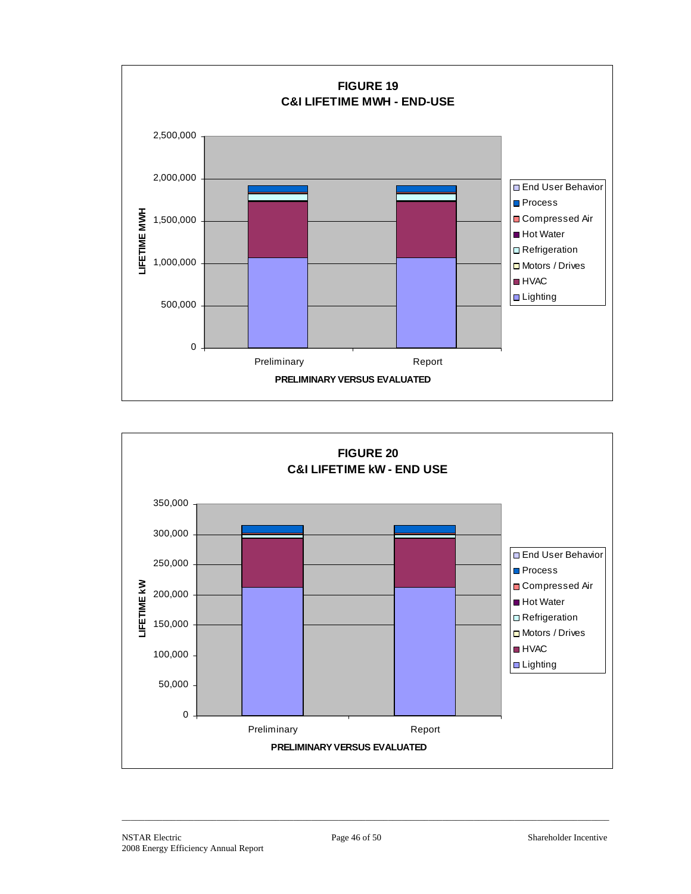

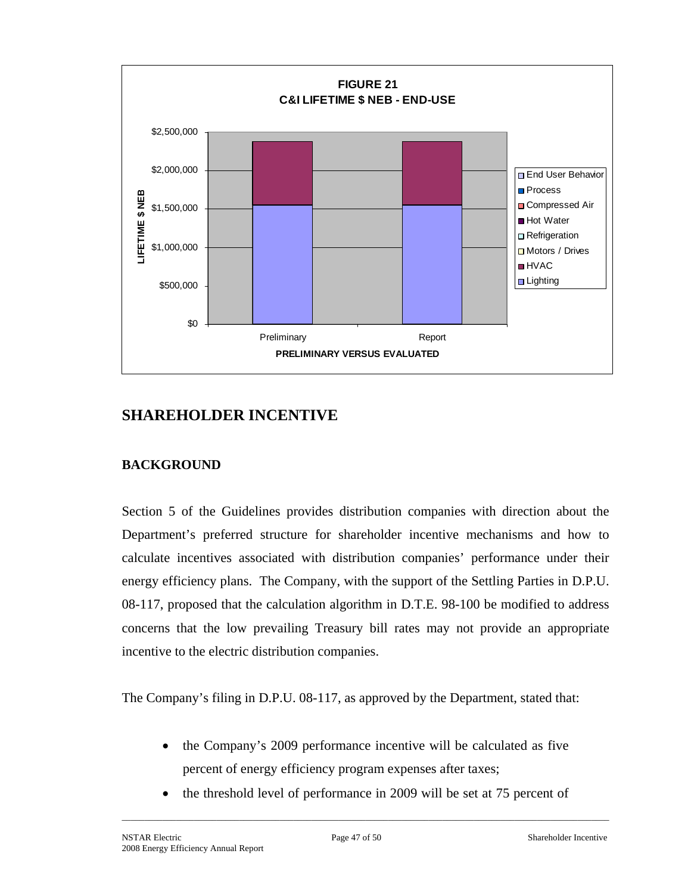

# **SHAREHOLDER INCENTIVE**

## **BACKGROUND**

Section 5 of the Guidelines provides distribution companies with direction about the Department's preferred structure for shareholder incentive mechanisms and how to calculate incentives associated with distribution companies' performance under their energy efficiency plans. The Company, with the support of the Settling Parties in D.P.U. 08-117, proposed that the calculation algorithm in D.T.E. 98-100 be modified to address concerns that the low prevailing Treasury bill rates may not provide an appropriate incentive to the electric distribution companies.

The Company's filing in D.P.U. 08-117, as approved by the Department, stated that:

- the Company's 2009 performance incentive will be calculated as five percent of energy efficiency program expenses after taxes;
- the threshold level of performance in 2009 will be set at 75 percent of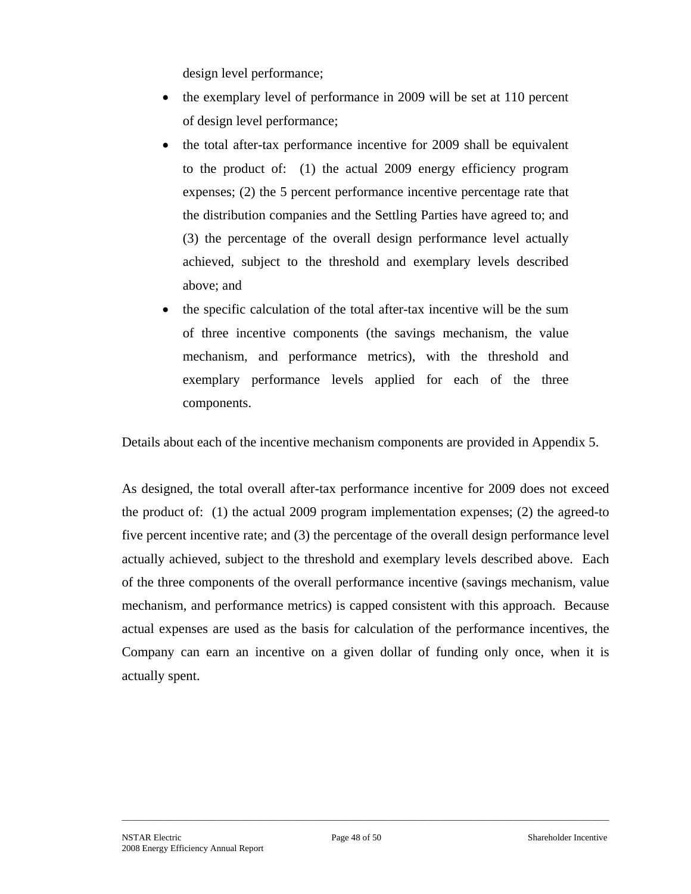design level performance;

- the exemplary level of performance in 2009 will be set at 110 percent of design level performance;
- the total after-tax performance incentive for 2009 shall be equivalent to the product of: (1) the actual 2009 energy efficiency program expenses; (2) the 5 percent performance incentive percentage rate that the distribution companies and the Settling Parties have agreed to; and (3) the percentage of the overall design performance level actually achieved, subject to the threshold and exemplary levels described above; and
- the specific calculation of the total after-tax incentive will be the sum of three incentive components (the savings mechanism, the value mechanism, and performance metrics), with the threshold and exemplary performance levels applied for each of the three components.

Details about each of the incentive mechanism components are provided in Appendix 5.

As designed, the total overall after-tax performance incentive for 2009 does not exceed the product of: (1) the actual 2009 program implementation expenses; (2) the agreed-to five percent incentive rate; and (3) the percentage of the overall design performance level actually achieved, subject to the threshold and exemplary levels described above. Each of the three components of the overall performance incentive (savings mechanism, value mechanism, and performance metrics) is capped consistent with this approach. Because actual expenses are used as the basis for calculation of the performance incentives, the Company can earn an incentive on a given dollar of funding only once, when it is actually spent.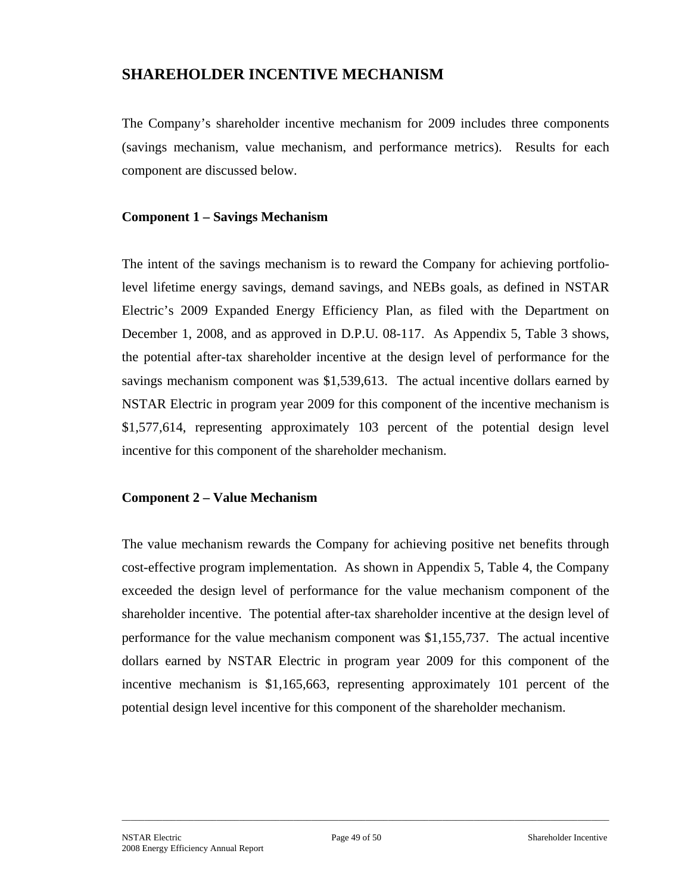# **SHAREHOLDER INCENTIVE MECHANISM**

The Company's shareholder incentive mechanism for 2009 includes three components (savings mechanism, value mechanism, and performance metrics). Results for each component are discussed below.

#### **Component 1 – Savings Mechanism**

The intent of the savings mechanism is to reward the Company for achieving portfoliolevel lifetime energy savings, demand savings, and NEBs goals, as defined in NSTAR Electric's 2009 Expanded Energy Efficiency Plan, as filed with the Department on December 1, 2008, and as approved in D.P.U. 08-117. As Appendix 5, Table 3 shows, the potential after-tax shareholder incentive at the design level of performance for the savings mechanism component was \$1,539,613. The actual incentive dollars earned by NSTAR Electric in program year 2009 for this component of the incentive mechanism is \$1,577,614, representing approximately 103 percent of the potential design level incentive for this component of the shareholder mechanism.

## **Component 2 – Value Mechanism**

The value mechanism rewards the Company for achieving positive net benefits through cost-effective program implementation. As shown in Appendix 5, Table 4, the Company exceeded the design level of performance for the value mechanism component of the shareholder incentive. The potential after-tax shareholder incentive at the design level of performance for the value mechanism component was \$1,155,737. The actual incentive dollars earned by NSTAR Electric in program year 2009 for this component of the incentive mechanism is \$1,165,663, representing approximately 101 percent of the potential design level incentive for this component of the shareholder mechanism.